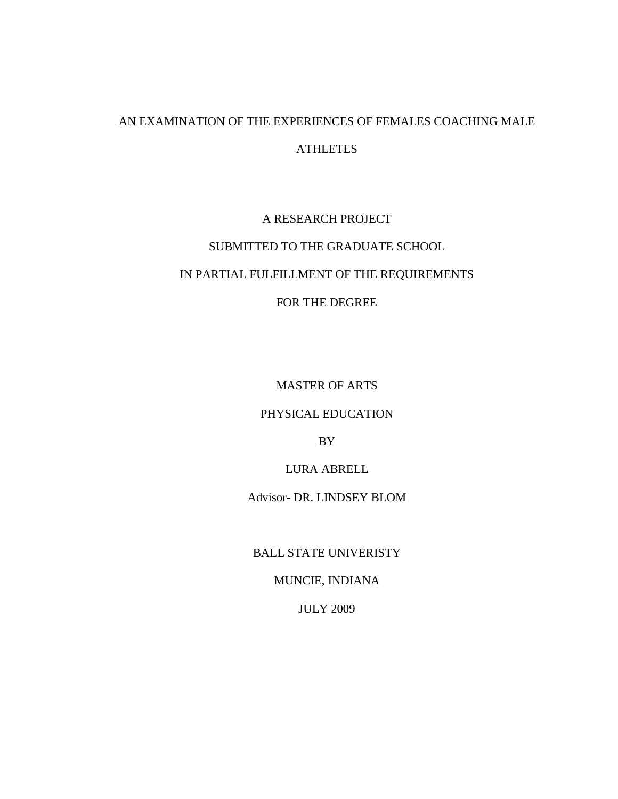# AN EXAMINATION OF THE EXPERIENCES OF FEMALES COACHING MALE **ATHLETES**

## A RESEARCH PROJECT

# SUBMITTED TO THE GRADUATE SCHOOL IN PARTIAL FULFILLMENT OF THE REQUIREMENTS

### FOR THE DEGREE

MASTER OF ARTS

#### PHYSICAL EDUCATION

BY

LURA ABRELL

Advisor- DR. LINDSEY BLOM

BALL STATE UNIVERISTY

MUNCIE, INDIANA

JULY 2009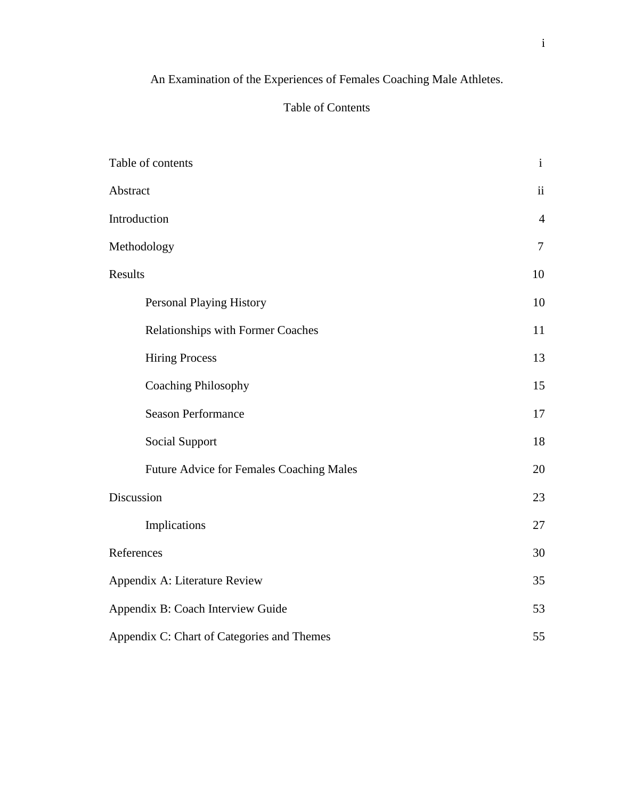# An Examination of the Experiences of Females Coaching Male Athletes.

## Table of Contents

| Table of contents                          | $\mathbf{i}$   |  |  |
|--------------------------------------------|----------------|--|--|
| Abstract                                   | ii             |  |  |
| Introduction                               | $\overline{4}$ |  |  |
| Methodology                                | $\overline{7}$ |  |  |
| Results                                    | 10             |  |  |
| <b>Personal Playing History</b>            | 10             |  |  |
| <b>Relationships with Former Coaches</b>   | 11             |  |  |
| <b>Hiring Process</b>                      | 13             |  |  |
| <b>Coaching Philosophy</b>                 | 15             |  |  |
| <b>Season Performance</b>                  | 17             |  |  |
| <b>Social Support</b>                      | 18             |  |  |
| Future Advice for Females Coaching Males   | 20             |  |  |
| Discussion                                 | 23             |  |  |
| Implications                               | 27             |  |  |
| References                                 | 30             |  |  |
| Appendix A: Literature Review              | 35             |  |  |
| Appendix B: Coach Interview Guide          |                |  |  |
| Appendix C: Chart of Categories and Themes | 55             |  |  |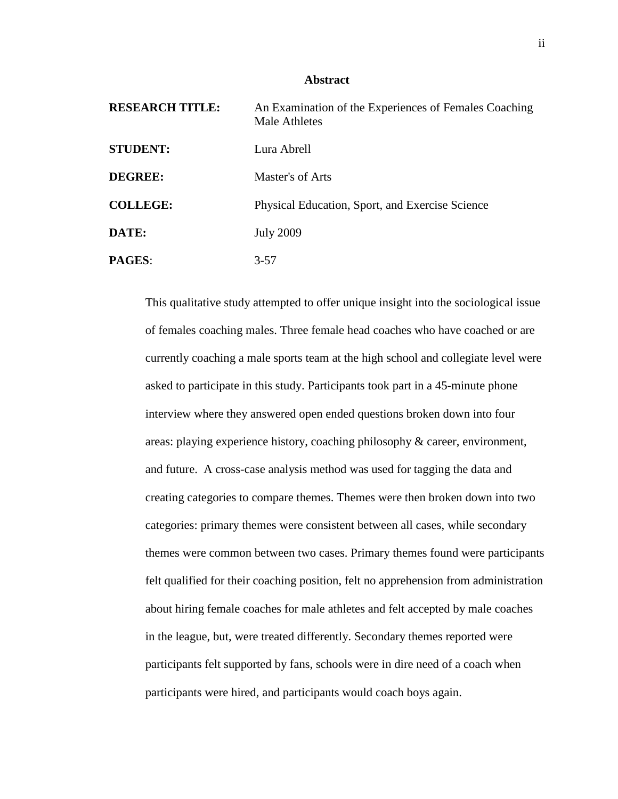#### **Abstract**

| <b>RESEARCH TITLE:</b> | An Examination of the Experiences of Females Coaching<br><b>Male Athletes</b> |
|------------------------|-------------------------------------------------------------------------------|
| <b>STUDENT:</b>        | Lura Abrell                                                                   |
| <b>DEGREE:</b>         | Master's of Arts                                                              |
| <b>COLLEGE:</b>        | Physical Education, Sport, and Exercise Science                               |
| DATE:                  | <b>July 2009</b>                                                              |
| <b>PAGES:</b>          | $3 - 57$                                                                      |

This qualitative study attempted to offer unique insight into the sociological issue of females coaching males. Three female head coaches who have coached or are currently coaching a male sports team at the high school and collegiate level were asked to participate in this study. Participants took part in a 45-minute phone interview where they answered open ended questions broken down into four areas: playing experience history, coaching philosophy & career, environment, and future. A cross-case analysis method was used for tagging the data and creating categories to compare themes. Themes were then broken down into two categories: primary themes were consistent between all cases, while secondary themes were common between two cases. Primary themes found were participants felt qualified for their coaching position, felt no apprehension from administration about hiring female coaches for male athletes and felt accepted by male coaches in the league, but, were treated differently. Secondary themes reported were participants felt supported by fans, schools were in dire need of a coach when participants were hired, and participants would coach boys again.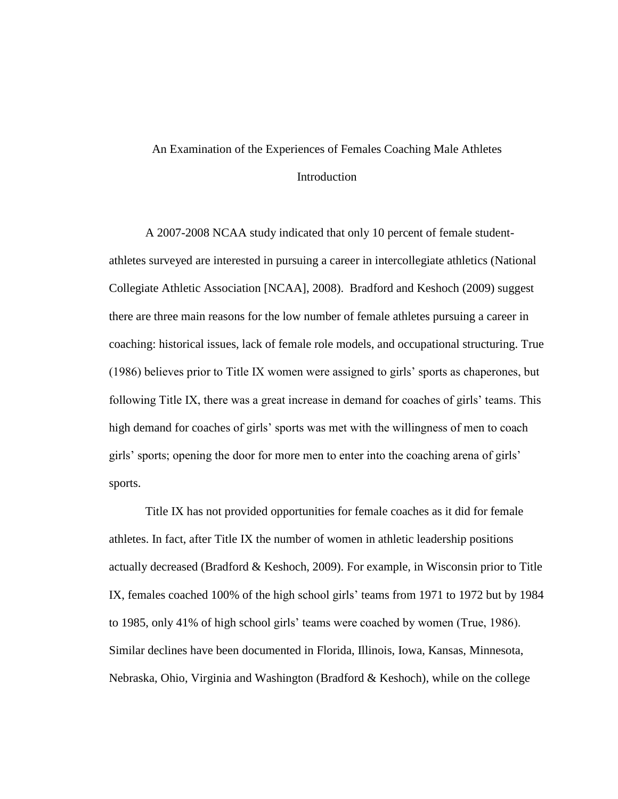# An Examination of the Experiences of Females Coaching Male Athletes **Introduction**

A 2007-2008 NCAA study indicated that only 10 percent of female studentathletes surveyed are interested in pursuing a career in intercollegiate athletics (National Collegiate Athletic Association [NCAA], 2008). Bradford and Keshoch (2009) suggest there are three main reasons for the low number of female athletes pursuing a career in coaching: historical issues, lack of female role models, and occupational structuring. True (1986) believes prior to Title IX women were assigned to girls" sports as chaperones, but following Title IX, there was a great increase in demand for coaches of girls' teams. This high demand for coaches of girls' sports was met with the willingness of men to coach girls" sports; opening the door for more men to enter into the coaching arena of girls" sports.

Title IX has not provided opportunities for female coaches as it did for female athletes. In fact, after Title IX the number of women in athletic leadership positions actually decreased (Bradford & Keshoch, 2009). For example, in Wisconsin prior to Title IX, females coached 100% of the high school girls' teams from 1971 to 1972 but by 1984 to 1985, only 41% of high school girls" teams were coached by women (True, 1986). Similar declines have been documented in Florida, Illinois, Iowa, Kansas, Minnesota, Nebraska, Ohio, Virginia and Washington (Bradford & Keshoch), while on the college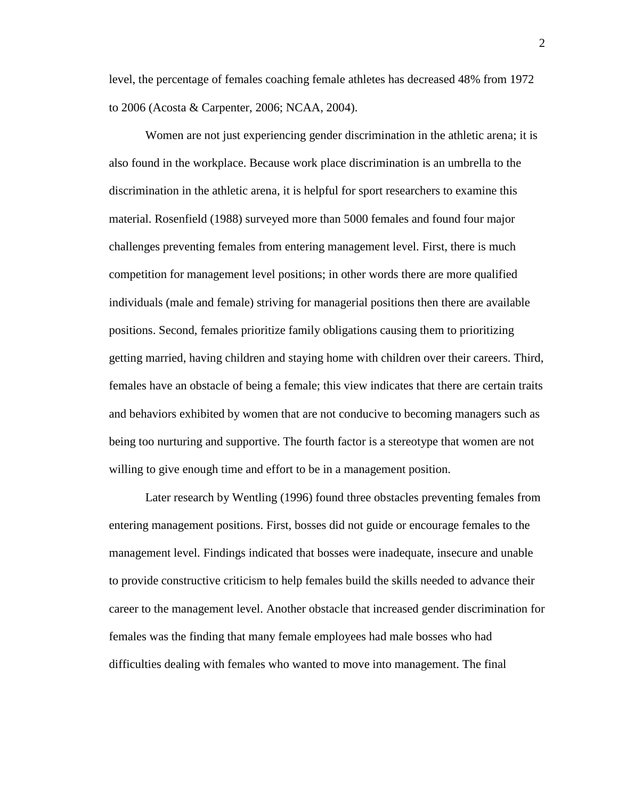level, the percentage of females coaching female athletes has decreased 48% from 1972 to 2006 (Acosta & Carpenter, 2006; NCAA, 2004).

Women are not just experiencing gender discrimination in the athletic arena; it is also found in the workplace. Because work place discrimination is an umbrella to the discrimination in the athletic arena, it is helpful for sport researchers to examine this material. Rosenfield (1988) surveyed more than 5000 females and found four major challenges preventing females from entering management level. First, there is much competition for management level positions; in other words there are more qualified individuals (male and female) striving for managerial positions then there are available positions. Second, females prioritize family obligations causing them to prioritizing getting married, having children and staying home with children over their careers. Third, females have an obstacle of being a female; this view indicates that there are certain traits and behaviors exhibited by women that are not conducive to becoming managers such as being too nurturing and supportive. The fourth factor is a stereotype that women are not willing to give enough time and effort to be in a management position.

Later research by Wentling (1996) found three obstacles preventing females from entering management positions. First, bosses did not guide or encourage females to the management level. Findings indicated that bosses were inadequate, insecure and unable to provide constructive criticism to help females build the skills needed to advance their career to the management level. Another obstacle that increased gender discrimination for females was the finding that many female employees had male bosses who had difficulties dealing with females who wanted to move into management. The final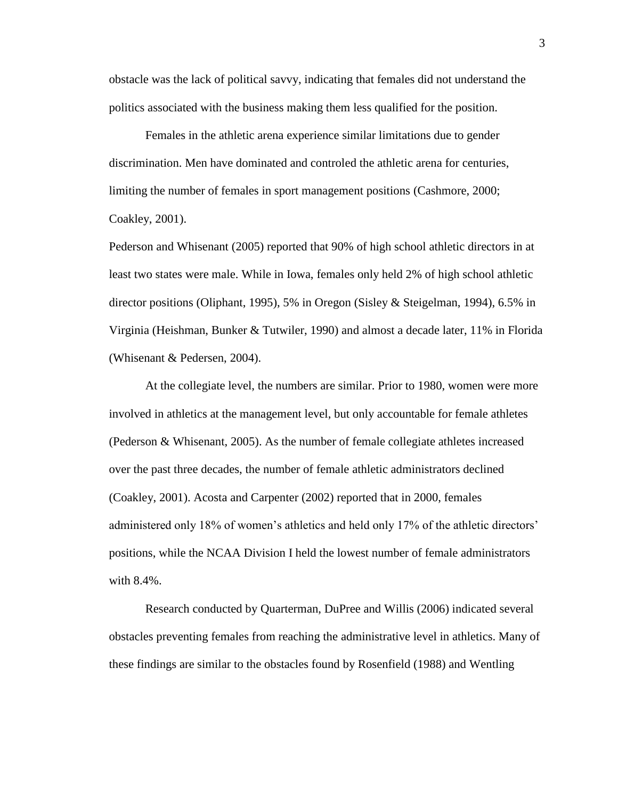obstacle was the lack of political savvy, indicating that females did not understand the politics associated with the business making them less qualified for the position.

Females in the athletic arena experience similar limitations due to gender discrimination. Men have dominated and controled the athletic arena for centuries, limiting the number of females in sport management positions (Cashmore, 2000; Coakley, 2001).

Pederson and Whisenant (2005) reported that 90% of high school athletic directors in at least two states were male. While in Iowa, females only held 2% of high school athletic director positions (Oliphant, 1995), 5% in Oregon (Sisley & Steigelman, 1994), 6.5% in Virginia (Heishman, Bunker & Tutwiler, 1990) and almost a decade later, 11% in Florida (Whisenant & Pedersen, 2004).

At the collegiate level, the numbers are similar. Prior to 1980, women were more involved in athletics at the management level, but only accountable for female athletes (Pederson & Whisenant, 2005). As the number of female collegiate athletes increased over the past three decades, the number of female athletic administrators declined (Coakley, 2001). Acosta and Carpenter (2002) reported that in 2000, females administered only 18% of women's athletics and held only 17% of the athletic directors' positions, while the NCAA Division I held the lowest number of female administrators with 8.4%.

Research conducted by Quarterman, DuPree and Willis (2006) indicated several obstacles preventing females from reaching the administrative level in athletics. Many of these findings are similar to the obstacles found by Rosenfield (1988) and Wentling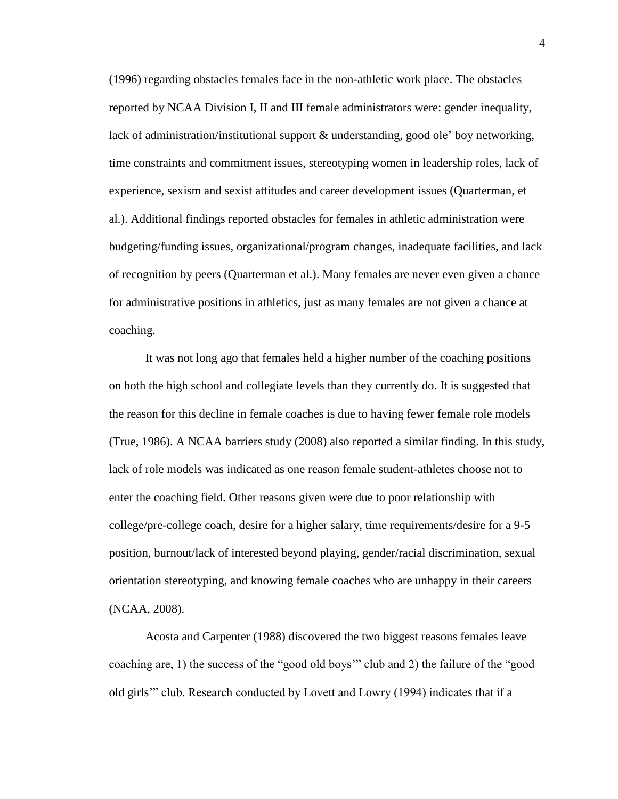(1996) regarding obstacles females face in the non-athletic work place. The obstacles reported by NCAA Division I, II and III female administrators were: gender inequality, lack of administration/institutional support & understanding, good ole" boy networking, time constraints and commitment issues, stereotyping women in leadership roles, lack of experience, sexism and sexist attitudes and career development issues (Quarterman, et al.). Additional findings reported obstacles for females in athletic administration were budgeting/funding issues, organizational/program changes, inadequate facilities, and lack of recognition by peers (Quarterman et al.). Many females are never even given a chance for administrative positions in athletics, just as many females are not given a chance at coaching.

It was not long ago that females held a higher number of the coaching positions on both the high school and collegiate levels than they currently do. It is suggested that the reason for this decline in female coaches is due to having fewer female role models (True, 1986). A NCAA barriers study (2008) also reported a similar finding. In this study, lack of role models was indicated as one reason female student-athletes choose not to enter the coaching field. Other reasons given were due to poor relationship with college/pre-college coach, desire for a higher salary, time requirements/desire for a 9-5 position, burnout/lack of interested beyond playing, gender/racial discrimination, sexual orientation stereotyping, and knowing female coaches who are unhappy in their careers (NCAA, 2008).

Acosta and Carpenter (1988) discovered the two biggest reasons females leave coaching are, 1) the success of the "good old boys"" club and 2) the failure of the "good old girls"" club. Research conducted by Lovett and Lowry (1994) indicates that if a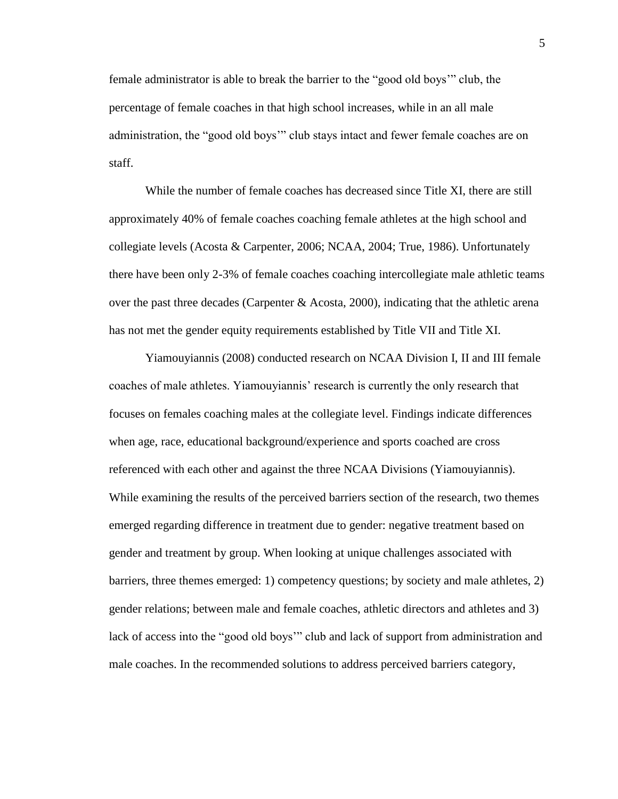female administrator is able to break the barrier to the "good old boys"" club, the percentage of female coaches in that high school increases, while in an all male administration, the "good old boys"" club stays intact and fewer female coaches are on staff.

While the number of female coaches has decreased since Title XI, there are still approximately 40% of female coaches coaching female athletes at the high school and collegiate levels (Acosta & Carpenter, 2006; NCAA, 2004; True, 1986). Unfortunately there have been only 2-3% of female coaches coaching intercollegiate male athletic teams over the past three decades (Carpenter  $\&$  Acosta, 2000), indicating that the athletic arena has not met the gender equity requirements established by Title VII and Title XI.

Yiamouyiannis (2008) conducted research on NCAA Division I, II and III female coaches of male athletes. Yiamouyiannis" research is currently the only research that focuses on females coaching males at the collegiate level. Findings indicate differences when age, race, educational background/experience and sports coached are cross referenced with each other and against the three NCAA Divisions (Yiamouyiannis). While examining the results of the perceived barriers section of the research, two themes emerged regarding difference in treatment due to gender: negative treatment based on gender and treatment by group. When looking at unique challenges associated with barriers, three themes emerged: 1) competency questions; by society and male athletes, 2) gender relations; between male and female coaches, athletic directors and athletes and 3) lack of access into the "good old boys"" club and lack of support from administration and male coaches. In the recommended solutions to address perceived barriers category,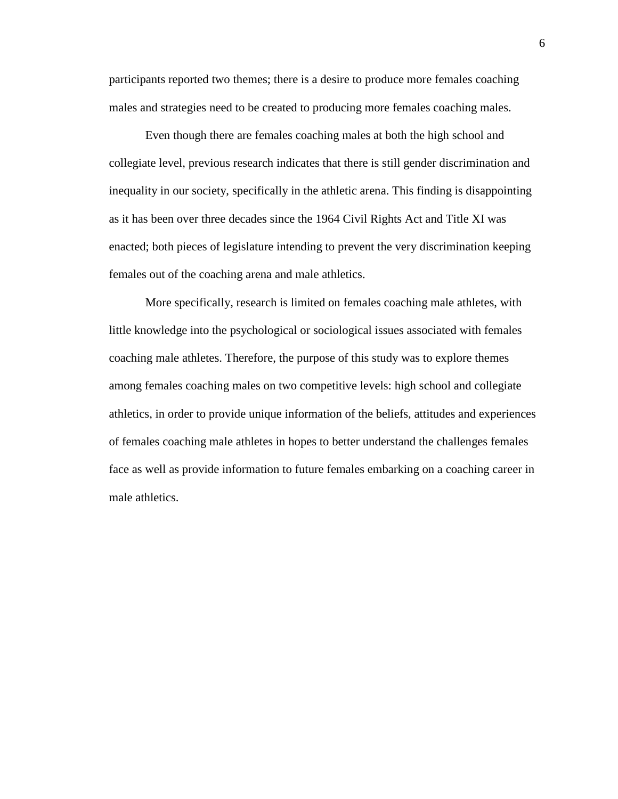participants reported two themes; there is a desire to produce more females coaching males and strategies need to be created to producing more females coaching males.

Even though there are females coaching males at both the high school and collegiate level, previous research indicates that there is still gender discrimination and inequality in our society, specifically in the athletic arena. This finding is disappointing as it has been over three decades since the 1964 Civil Rights Act and Title XI was enacted; both pieces of legislature intending to prevent the very discrimination keeping females out of the coaching arena and male athletics.

More specifically, research is limited on females coaching male athletes, with little knowledge into the psychological or sociological issues associated with females coaching male athletes. Therefore, the purpose of this study was to explore themes among females coaching males on two competitive levels: high school and collegiate athletics, in order to provide unique information of the beliefs, attitudes and experiences of females coaching male athletes in hopes to better understand the challenges females face as well as provide information to future females embarking on a coaching career in male athletics.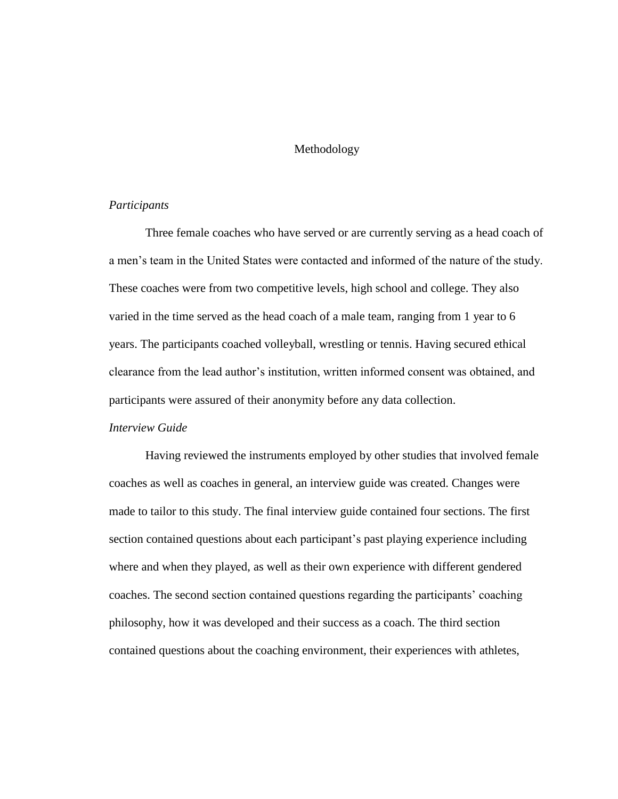#### Methodology

#### *Participants*

Three female coaches who have served or are currently serving as a head coach of a men"s team in the United States were contacted and informed of the nature of the study. These coaches were from two competitive levels, high school and college. They also varied in the time served as the head coach of a male team, ranging from 1 year to 6 years. The participants coached volleyball, wrestling or tennis. Having secured ethical clearance from the lead author"s institution, written informed consent was obtained, and participants were assured of their anonymity before any data collection.

### *Interview Guide*

Having reviewed the instruments employed by other studies that involved female coaches as well as coaches in general, an interview guide was created. Changes were made to tailor to this study. The final interview guide contained four sections. The first section contained questions about each participant's past playing experience including where and when they played, as well as their own experience with different gendered coaches. The second section contained questions regarding the participants" coaching philosophy, how it was developed and their success as a coach. The third section contained questions about the coaching environment, their experiences with athletes,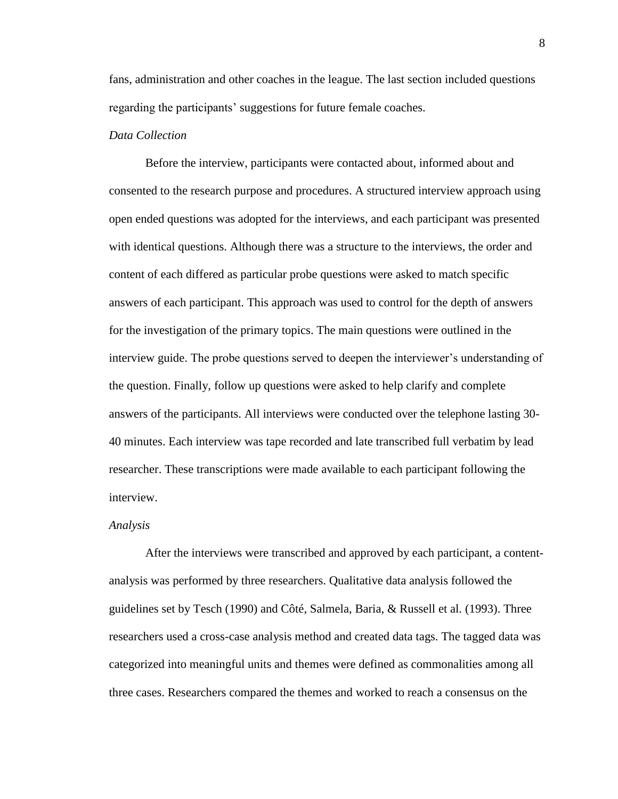fans, administration and other coaches in the league. The last section included questions regarding the participants' suggestions for future female coaches.

#### *Data Collection*

Before the interview, participants were contacted about, informed about and consented to the research purpose and procedures. A structured interview approach using open ended questions was adopted for the interviews, and each participant was presented with identical questions. Although there was a structure to the interviews, the order and content of each differed as particular probe questions were asked to match specific answers of each participant. This approach was used to control for the depth of answers for the investigation of the primary topics. The main questions were outlined in the interview guide. The probe questions served to deepen the interviewer"s understanding of the question. Finally, follow up questions were asked to help clarify and complete answers of the participants. All interviews were conducted over the telephone lasting 30- 40 minutes. Each interview was tape recorded and late transcribed full verbatim by lead researcher. These transcriptions were made available to each participant following the interview.

#### *Analysis*

After the interviews were transcribed and approved by each participant, a contentanalysis was performed by three researchers. Qualitative data analysis followed the guidelines set by Tesch (1990) and Côté, Salmela, Baria, & Russell et al. (1993). Three researchers used a cross-case analysis method and created data tags. The tagged data was categorized into meaningful units and themes were defined as commonalities among all three cases. Researchers compared the themes and worked to reach a consensus on the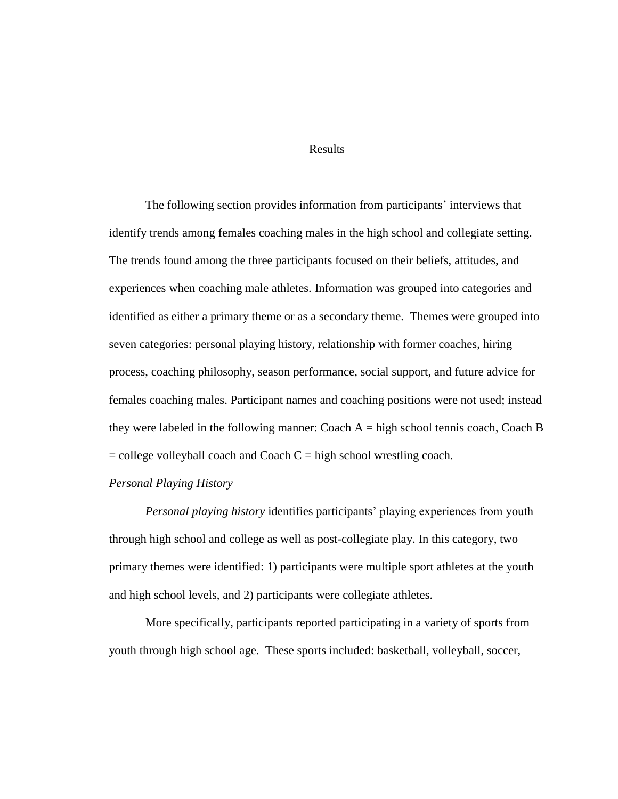#### Results

The following section provides information from participants' interviews that identify trends among females coaching males in the high school and collegiate setting. The trends found among the three participants focused on their beliefs, attitudes, and experiences when coaching male athletes. Information was grouped into categories and identified as either a primary theme or as a secondary theme. Themes were grouped into seven categories: personal playing history, relationship with former coaches, hiring process, coaching philosophy, season performance, social support, and future advice for females coaching males. Participant names and coaching positions were not used; instead they were labeled in the following manner: Coach  $A =$  high school tennis coach, Coach B  $=$  college volleyball coach and Coach  $C =$  high school wrestling coach.

#### *Personal Playing History*

*Personal playing history* identifies participants' playing experiences from youth through high school and college as well as post-collegiate play. In this category, two primary themes were identified: 1) participants were multiple sport athletes at the youth and high school levels, and 2) participants were collegiate athletes.

More specifically, participants reported participating in a variety of sports from youth through high school age. These sports included: basketball, volleyball, soccer,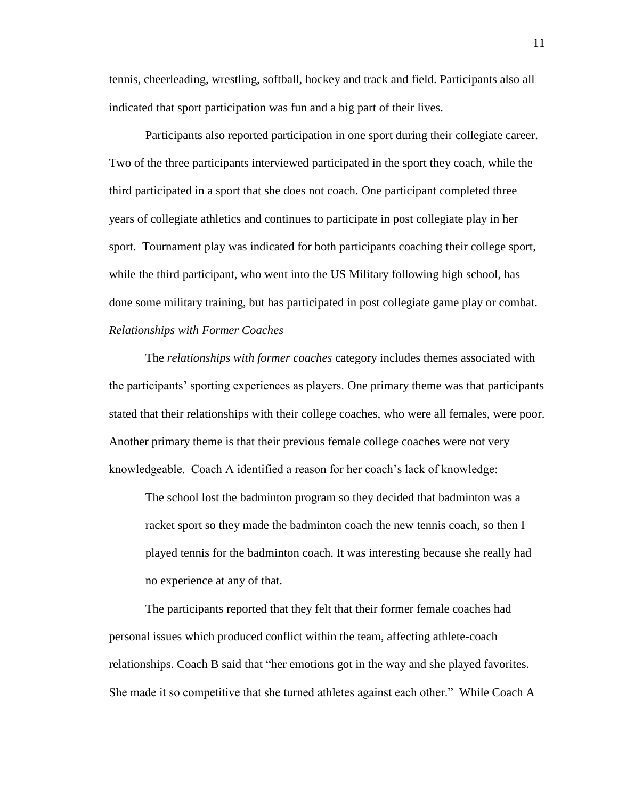tennis, cheerleading, wrestling, softball, hockey and track and field. Participants also all indicated that sport participation was fun and a big part of their lives.

Participants also reported participation in one sport during their collegiate career. Two of the three participants interviewed participated in the sport they coach, while the third participated in a sport that she does not coach. One participant completed three years of collegiate athletics and continues to participate in post collegiate play in her sport. Tournament play was indicated for both participants coaching their college sport, while the third participant, who went into the US Military following high school, has done some military training, but has participated in post collegiate game play or combat. *Relationships with Former Coaches*

The *relationships with former coaches* category includes themes associated with the participants" sporting experiences as players. One primary theme was that participants stated that their relationships with their college coaches, who were all females, were poor. Another primary theme is that their previous female college coaches were not very knowledgeable. Coach A identified a reason for her coach"s lack of knowledge:

The school lost the badminton program so they decided that badminton was a racket sport so they made the badminton coach the new tennis coach, so then I played tennis for the badminton coach. It was interesting because she really had no experience at any of that.

The participants reported that they felt that their former female coaches had personal issues which produced conflict within the team, affecting athlete-coach relationships. Coach B said that "her emotions got in the way and she played favorites. She made it so competitive that she turned athletes against each other." While Coach A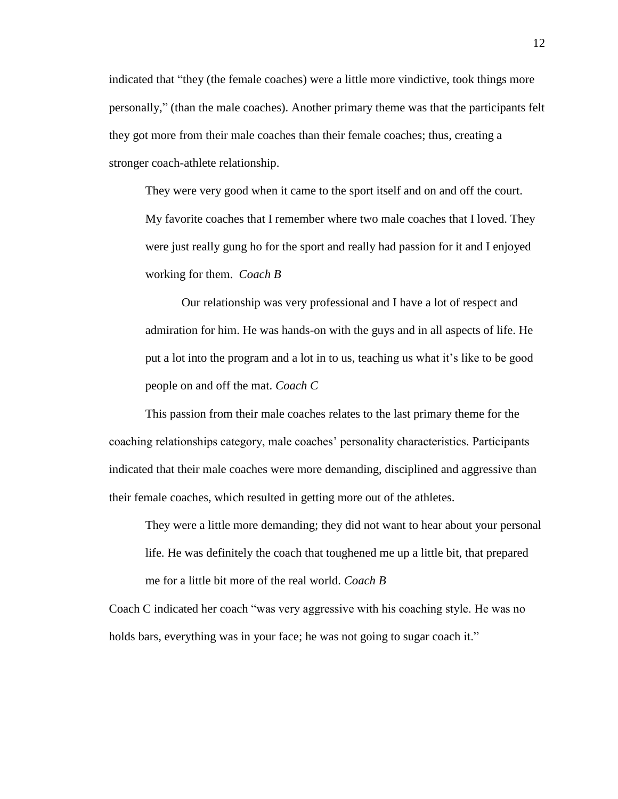indicated that "they (the female coaches) were a little more vindictive, took things more personally," (than the male coaches). Another primary theme was that the participants felt they got more from their male coaches than their female coaches; thus, creating a stronger coach-athlete relationship.

They were very good when it came to the sport itself and on and off the court. My favorite coaches that I remember where two male coaches that I loved. They were just really gung ho for the sport and really had passion for it and I enjoyed working for them. *Coach B*

Our relationship was very professional and I have a lot of respect and admiration for him. He was hands-on with the guys and in all aspects of life. He put a lot into the program and a lot in to us, teaching us what it"s like to be good people on and off the mat. *Coach C*

This passion from their male coaches relates to the last primary theme for the coaching relationships category, male coaches" personality characteristics. Participants indicated that their male coaches were more demanding, disciplined and aggressive than their female coaches, which resulted in getting more out of the athletes.

They were a little more demanding; they did not want to hear about your personal life. He was definitely the coach that toughened me up a little bit, that prepared me for a little bit more of the real world. *Coach B*

Coach C indicated her coach "was very aggressive with his coaching style. He was no holds bars, everything was in your face; he was not going to sugar coach it."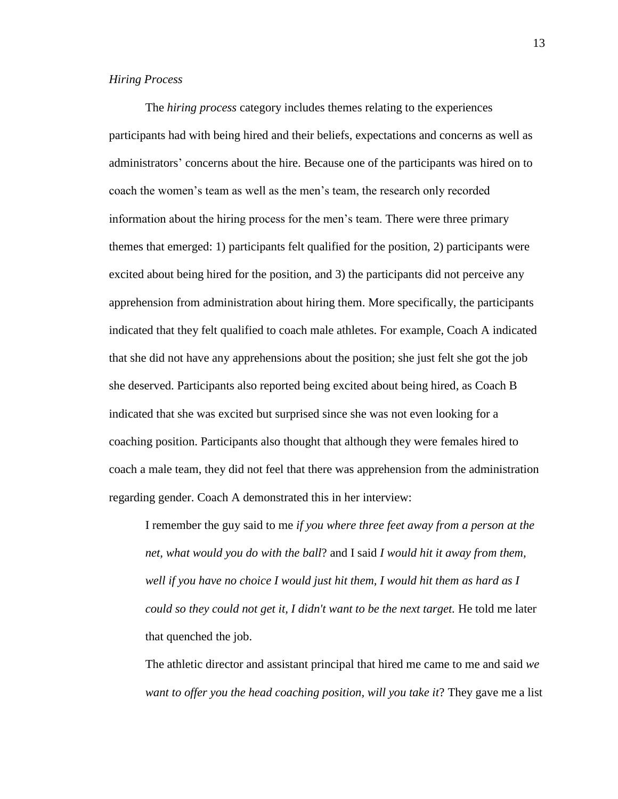#### *Hiring Process*

The *hiring process* category includes themes relating to the experiences participants had with being hired and their beliefs, expectations and concerns as well as administrators" concerns about the hire. Because one of the participants was hired on to coach the women"s team as well as the men"s team, the research only recorded information about the hiring process for the men"s team. There were three primary themes that emerged: 1) participants felt qualified for the position, 2) participants were excited about being hired for the position, and 3) the participants did not perceive any apprehension from administration about hiring them. More specifically, the participants indicated that they felt qualified to coach male athletes. For example, Coach A indicated that she did not have any apprehensions about the position; she just felt she got the job she deserved. Participants also reported being excited about being hired, as Coach B indicated that she was excited but surprised since she was not even looking for a coaching position. Participants also thought that although they were females hired to coach a male team, they did not feel that there was apprehension from the administration regarding gender. Coach A demonstrated this in her interview:

I remember the guy said to me *if you where three feet away from a person at the net, what would you do with the ball*? and I said *I would hit it away from them, well if you have no choice I would just hit them, I would hit them as hard as I could so they could not get it, I didn't want to be the next target.* He told me later that quenched the job.

The athletic director and assistant principal that hired me came to me and said *we want to offer you the head coaching position, will you take it*? They gave me a list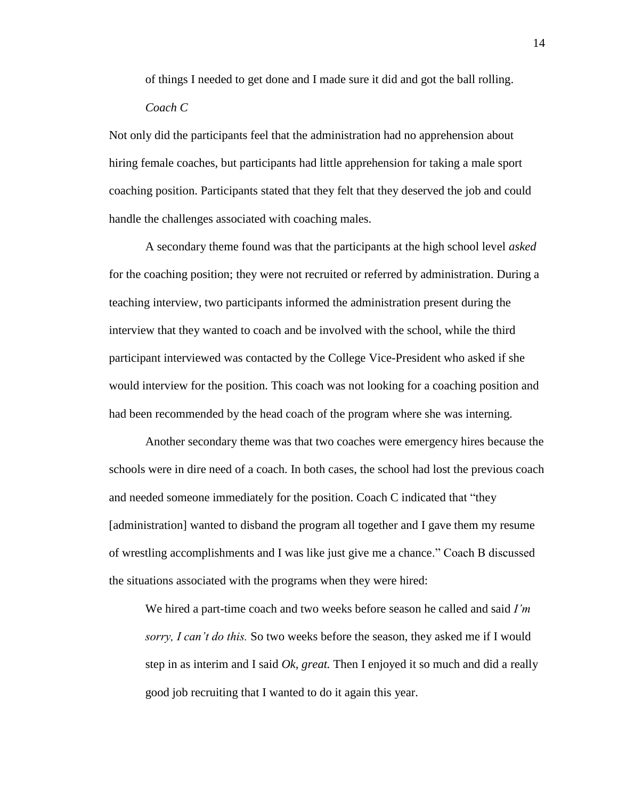of things I needed to get done and I made sure it did and got the ball rolling. *Coach C*

Not only did the participants feel that the administration had no apprehension about hiring female coaches, but participants had little apprehension for taking a male sport coaching position. Participants stated that they felt that they deserved the job and could handle the challenges associated with coaching males.

A secondary theme found was that the participants at the high school level *asked* for the coaching position; they were not recruited or referred by administration. During a teaching interview, two participants informed the administration present during the interview that they wanted to coach and be involved with the school, while the third participant interviewed was contacted by the College Vice-President who asked if she would interview for the position. This coach was not looking for a coaching position and had been recommended by the head coach of the program where she was interning.

Another secondary theme was that two coaches were emergency hires because the schools were in dire need of a coach. In both cases, the school had lost the previous coach and needed someone immediately for the position. Coach C indicated that "they [administration] wanted to disband the program all together and I gave them my resume of wrestling accomplishments and I was like just give me a chance." Coach B discussed the situations associated with the programs when they were hired:

We hired a part-time coach and two weeks before season he called and said *I'm sorry, I can't do this.* So two weeks before the season, they asked me if I would step in as interim and I said *Ok, great.* Then I enjoyed it so much and did a really good job recruiting that I wanted to do it again this year.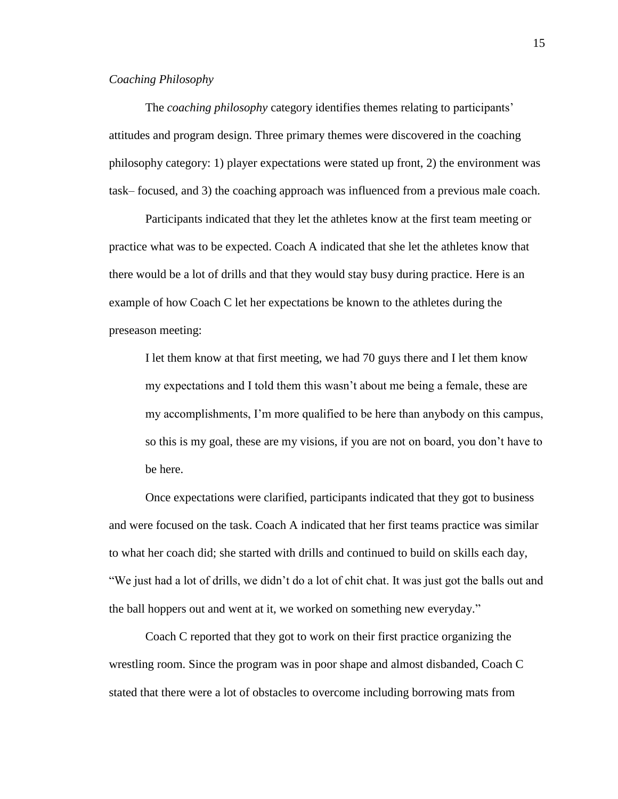#### *Coaching Philosophy*

The *coaching philosophy* category identifies themes relating to participants" attitudes and program design. Three primary themes were discovered in the coaching philosophy category: 1) player expectations were stated up front, 2) the environment was task– focused, and 3) the coaching approach was influenced from a previous male coach.

Participants indicated that they let the athletes know at the first team meeting or practice what was to be expected. Coach A indicated that she let the athletes know that there would be a lot of drills and that they would stay busy during practice. Here is an example of how Coach C let her expectations be known to the athletes during the preseason meeting:

I let them know at that first meeting, we had 70 guys there and I let them know my expectations and I told them this wasn"t about me being a female, these are my accomplishments, I"m more qualified to be here than anybody on this campus, so this is my goal, these are my visions, if you are not on board, you don"t have to be here.

Once expectations were clarified, participants indicated that they got to business and were focused on the task. Coach A indicated that her first teams practice was similar to what her coach did; she started with drills and continued to build on skills each day, "We just had a lot of drills, we didn"t do a lot of chit chat. It was just got the balls out and the ball hoppers out and went at it, we worked on something new everyday."

Coach C reported that they got to work on their first practice organizing the wrestling room. Since the program was in poor shape and almost disbanded, Coach C stated that there were a lot of obstacles to overcome including borrowing mats from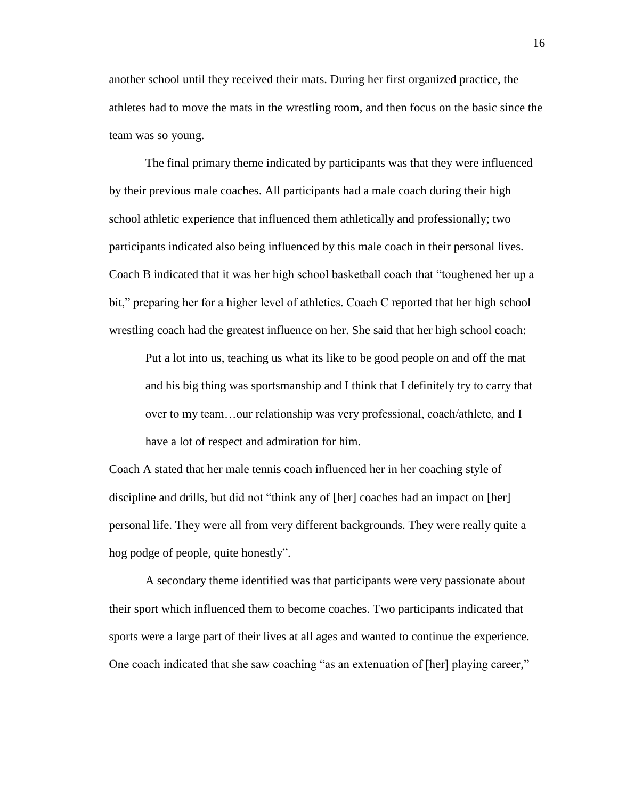another school until they received their mats. During her first organized practice, the athletes had to move the mats in the wrestling room, and then focus on the basic since the team was so young.

The final primary theme indicated by participants was that they were influenced by their previous male coaches. All participants had a male coach during their high school athletic experience that influenced them athletically and professionally; two participants indicated also being influenced by this male coach in their personal lives. Coach B indicated that it was her high school basketball coach that "toughened her up a bit," preparing her for a higher level of athletics. Coach C reported that her high school wrestling coach had the greatest influence on her. She said that her high school coach:

Put a lot into us, teaching us what its like to be good people on and off the mat and his big thing was sportsmanship and I think that I definitely try to carry that over to my team…our relationship was very professional, coach/athlete, and I have a lot of respect and admiration for him.

Coach A stated that her male tennis coach influenced her in her coaching style of discipline and drills, but did not "think any of [her] coaches had an impact on [her] personal life. They were all from very different backgrounds. They were really quite a hog podge of people, quite honestly".

A secondary theme identified was that participants were very passionate about their sport which influenced them to become coaches. Two participants indicated that sports were a large part of their lives at all ages and wanted to continue the experience. One coach indicated that she saw coaching "as an extenuation of [her] playing career,"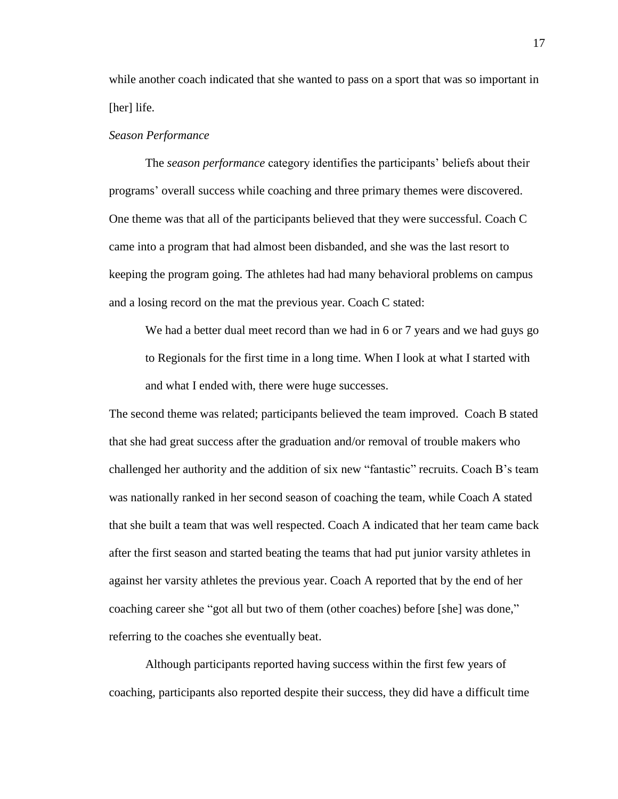while another coach indicated that she wanted to pass on a sport that was so important in [her] life.

#### *Season Performance*

The *season performance* category identifies the participants" beliefs about their programs" overall success while coaching and three primary themes were discovered. One theme was that all of the participants believed that they were successful. Coach C came into a program that had almost been disbanded, and she was the last resort to keeping the program going. The athletes had had many behavioral problems on campus and a losing record on the mat the previous year. Coach C stated:

We had a better dual meet record than we had in 6 or 7 years and we had guys go to Regionals for the first time in a long time. When I look at what I started with and what I ended with, there were huge successes.

The second theme was related; participants believed the team improved. Coach B stated that she had great success after the graduation and/or removal of trouble makers who challenged her authority and the addition of six new "fantastic" recruits. Coach B"s team was nationally ranked in her second season of coaching the team, while Coach A stated that she built a team that was well respected. Coach A indicated that her team came back after the first season and started beating the teams that had put junior varsity athletes in against her varsity athletes the previous year. Coach A reported that by the end of her coaching career she "got all but two of them (other coaches) before [she] was done," referring to the coaches she eventually beat.

Although participants reported having success within the first few years of coaching, participants also reported despite their success, they did have a difficult time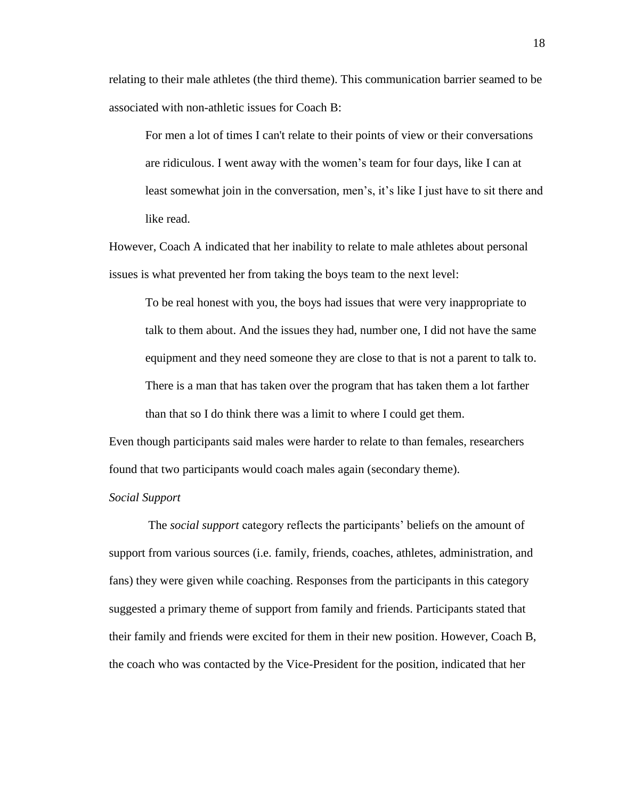relating to their male athletes (the third theme). This communication barrier seamed to be associated with non-athletic issues for Coach B:

For men a lot of times I can't relate to their points of view or their conversations are ridiculous. I went away with the women"s team for four days, like I can at least somewhat join in the conversation, men"s, it"s like I just have to sit there and like read.

However, Coach A indicated that her inability to relate to male athletes about personal issues is what prevented her from taking the boys team to the next level:

To be real honest with you, the boys had issues that were very inappropriate to talk to them about. And the issues they had, number one, I did not have the same equipment and they need someone they are close to that is not a parent to talk to. There is a man that has taken over the program that has taken them a lot farther than that so I do think there was a limit to where I could get them.

Even though participants said males were harder to relate to than females, researchers found that two participants would coach males again (secondary theme).

#### *Social Support*

The *social support* category reflects the participants" beliefs on the amount of support from various sources (i.e. family, friends, coaches, athletes, administration, and fans) they were given while coaching. Responses from the participants in this category suggested a primary theme of support from family and friends. Participants stated that their family and friends were excited for them in their new position. However, Coach B, the coach who was contacted by the Vice-President for the position, indicated that her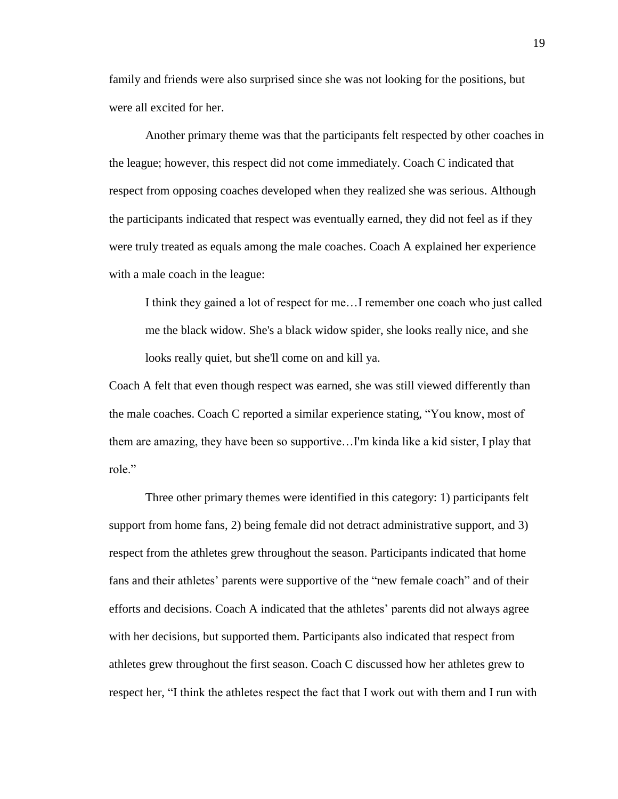family and friends were also surprised since she was not looking for the positions, but were all excited for her.

Another primary theme was that the participants felt respected by other coaches in the league; however, this respect did not come immediately. Coach C indicated that respect from opposing coaches developed when they realized she was serious. Although the participants indicated that respect was eventually earned, they did not feel as if they were truly treated as equals among the male coaches. Coach A explained her experience with a male coach in the league:

I think they gained a lot of respect for me…I remember one coach who just called me the black widow. She's a black widow spider, she looks really nice, and she looks really quiet, but she'll come on and kill ya.

Coach A felt that even though respect was earned, she was still viewed differently than the male coaches. Coach C reported a similar experience stating, "You know, most of them are amazing, they have been so supportive…I'm kinda like a kid sister, I play that role."

Three other primary themes were identified in this category: 1) participants felt support from home fans, 2) being female did not detract administrative support, and 3) respect from the athletes grew throughout the season. Participants indicated that home fans and their athletes' parents were supportive of the "new female coach" and of their efforts and decisions. Coach A indicated that the athletes" parents did not always agree with her decisions, but supported them. Participants also indicated that respect from athletes grew throughout the first season. Coach C discussed how her athletes grew to respect her, "I think the athletes respect the fact that I work out with them and I run with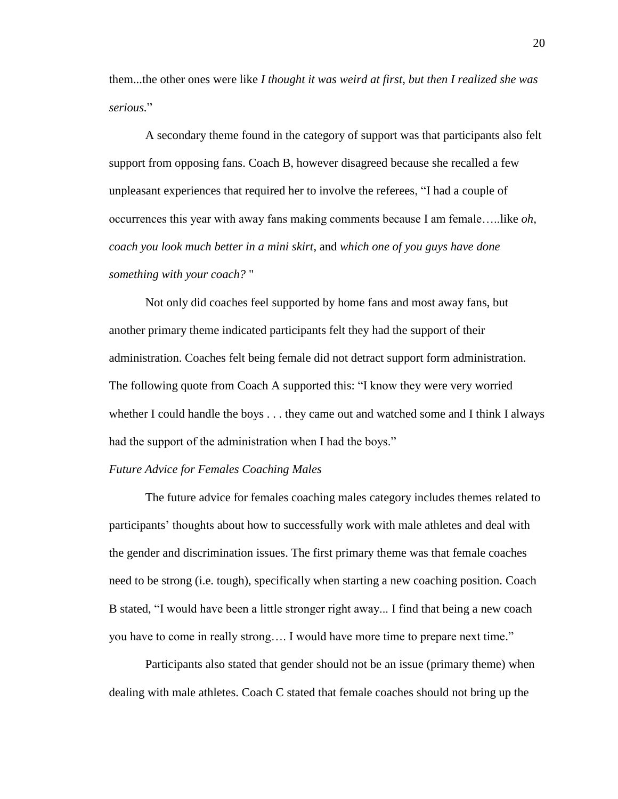them...the other ones were like *I thought it was weird at first, but then I realized she was serious.*"

A secondary theme found in the category of support was that participants also felt support from opposing fans. Coach B, however disagreed because she recalled a few unpleasant experiences that required her to involve the referees, "I had a couple of occurrences this year with away fans making comments because I am female…..like *oh, coach you look much better in a mini skirt*, and *which one of you guys have done something with your coach?* "

Not only did coaches feel supported by home fans and most away fans, but another primary theme indicated participants felt they had the support of their administration. Coaches felt being female did not detract support form administration. The following quote from Coach A supported this: "I know they were very worried whether I could handle the boys . . . they came out and watched some and I think I always had the support of the administration when I had the boys."

#### *Future Advice for Females Coaching Males*

The future advice for females coaching males category includes themes related to participants" thoughts about how to successfully work with male athletes and deal with the gender and discrimination issues. The first primary theme was that female coaches need to be strong (i.e. tough), specifically when starting a new coaching position. Coach B stated, "I would have been a little stronger right away... I find that being a new coach you have to come in really strong…. I would have more time to prepare next time."

Participants also stated that gender should not be an issue (primary theme) when dealing with male athletes. Coach C stated that female coaches should not bring up the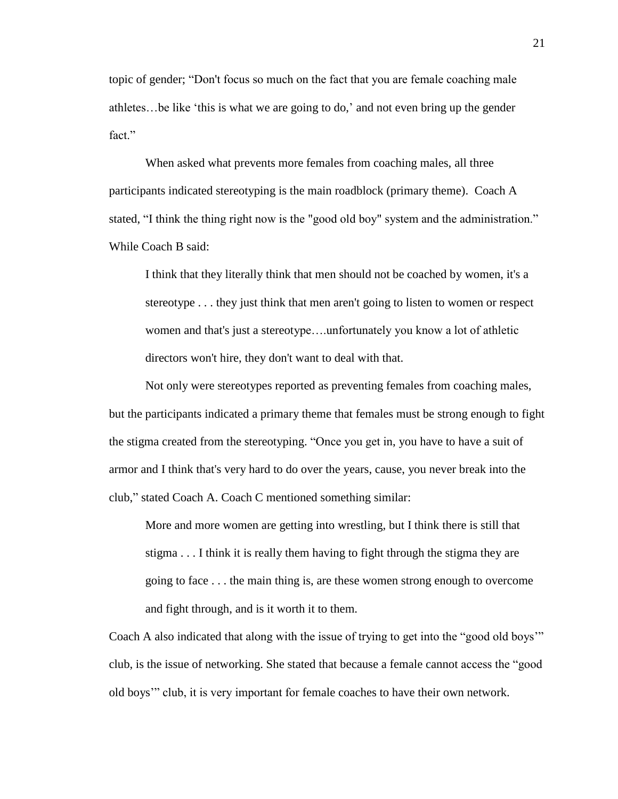topic of gender; "Don't focus so much on the fact that you are female coaching male athletes…be like "this is what we are going to do," and not even bring up the gender fact."

When asked what prevents more females from coaching males, all three participants indicated stereotyping is the main roadblock (primary theme). Coach A stated, "I think the thing right now is the "good old boy" system and the administration." While Coach B said:

I think that they literally think that men should not be coached by women, it's a stereotype . . . they just think that men aren't going to listen to women or respect women and that's just a stereotype….unfortunately you know a lot of athletic directors won't hire, they don't want to deal with that.

Not only were stereotypes reported as preventing females from coaching males, but the participants indicated a primary theme that females must be strong enough to fight the stigma created from the stereotyping. "Once you get in, you have to have a suit of armor and I think that's very hard to do over the years, cause, you never break into the club," stated Coach A. Coach C mentioned something similar:

More and more women are getting into wrestling, but I think there is still that stigma . . . I think it is really them having to fight through the stigma they are going to face . . . the main thing is, are these women strong enough to overcome and fight through, and is it worth it to them.

Coach A also indicated that along with the issue of trying to get into the "good old boys"" club, is the issue of networking. She stated that because a female cannot access the "good old boys"" club, it is very important for female coaches to have their own network.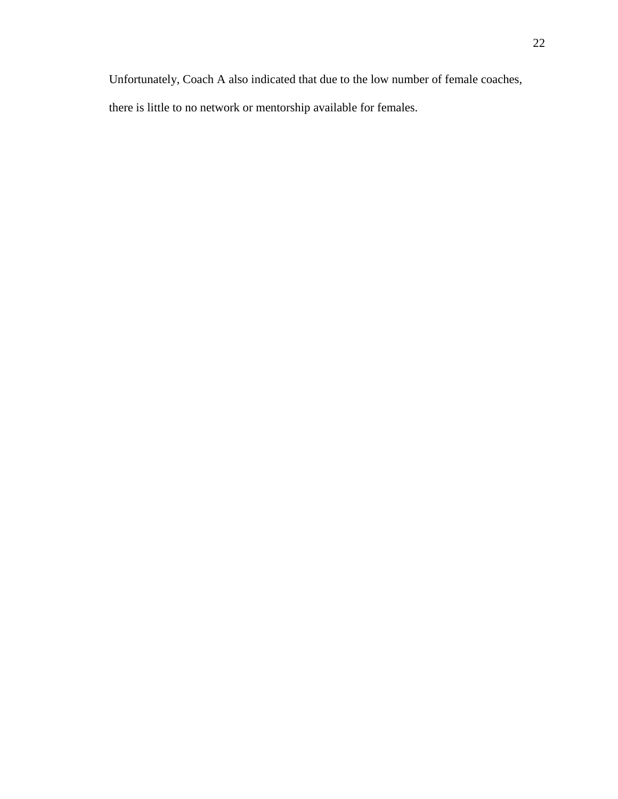Unfortunately, Coach A also indicated that due to the low number of female coaches,

there is little to no network or mentorship available for females.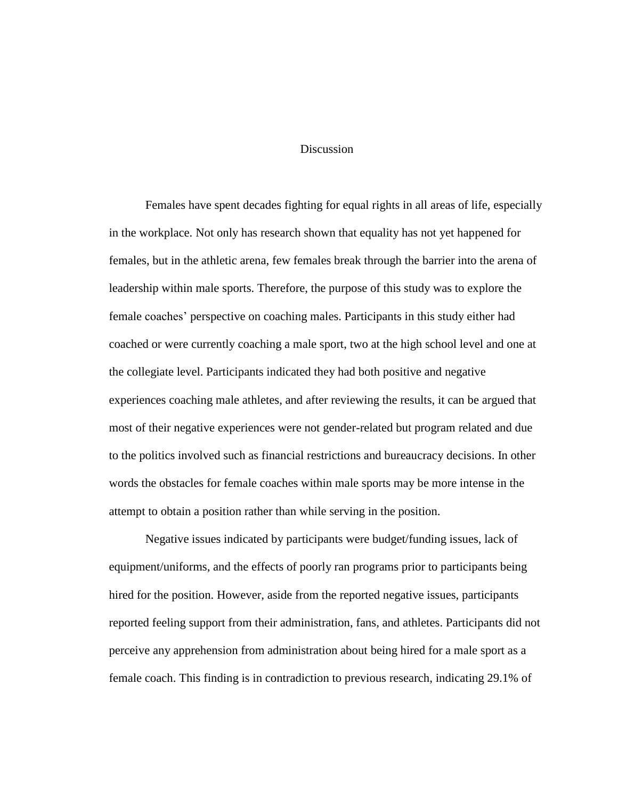#### Discussion

Females have spent decades fighting for equal rights in all areas of life, especially in the workplace. Not only has research shown that equality has not yet happened for females, but in the athletic arena, few females break through the barrier into the arena of leadership within male sports. Therefore, the purpose of this study was to explore the female coaches" perspective on coaching males. Participants in this study either had coached or were currently coaching a male sport, two at the high school level and one at the collegiate level. Participants indicated they had both positive and negative experiences coaching male athletes, and after reviewing the results, it can be argued that most of their negative experiences were not gender-related but program related and due to the politics involved such as financial restrictions and bureaucracy decisions. In other words the obstacles for female coaches within male sports may be more intense in the attempt to obtain a position rather than while serving in the position.

Negative issues indicated by participants were budget/funding issues, lack of equipment/uniforms, and the effects of poorly ran programs prior to participants being hired for the position. However, aside from the reported negative issues, participants reported feeling support from their administration, fans, and athletes. Participants did not perceive any apprehension from administration about being hired for a male sport as a female coach. This finding is in contradiction to previous research, indicating 29.1% of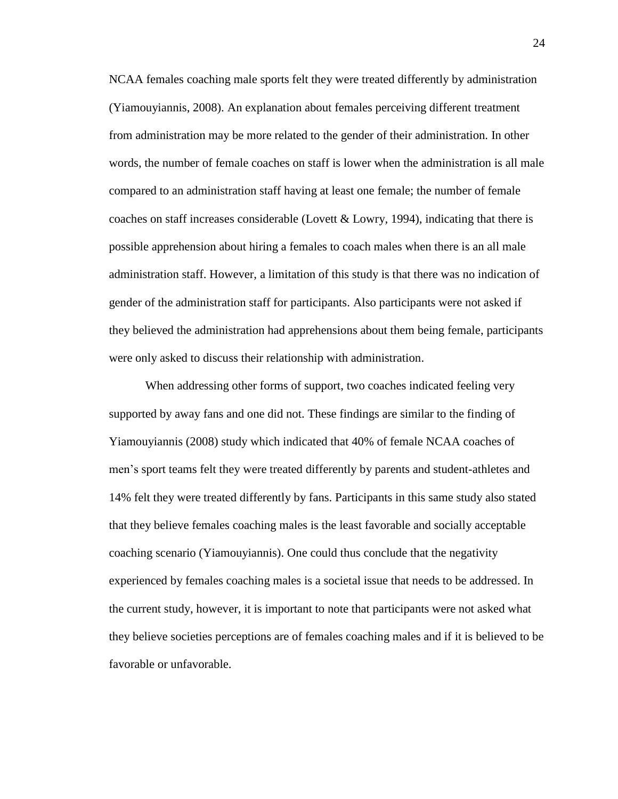NCAA females coaching male sports felt they were treated differently by administration (Yiamouyiannis, 2008). An explanation about females perceiving different treatment from administration may be more related to the gender of their administration. In other words, the number of female coaches on staff is lower when the administration is all male compared to an administration staff having at least one female; the number of female coaches on staff increases considerable (Lovett & Lowry, 1994), indicating that there is possible apprehension about hiring a females to coach males when there is an all male administration staff. However, a limitation of this study is that there was no indication of gender of the administration staff for participants. Also participants were not asked if they believed the administration had apprehensions about them being female, participants were only asked to discuss their relationship with administration.

When addressing other forms of support, two coaches indicated feeling very supported by away fans and one did not. These findings are similar to the finding of Yiamouyiannis (2008) study which indicated that 40% of female NCAA coaches of men"s sport teams felt they were treated differently by parents and student-athletes and 14% felt they were treated differently by fans. Participants in this same study also stated that they believe females coaching males is the least favorable and socially acceptable coaching scenario (Yiamouyiannis). One could thus conclude that the negativity experienced by females coaching males is a societal issue that needs to be addressed. In the current study, however, it is important to note that participants were not asked what they believe societies perceptions are of females coaching males and if it is believed to be favorable or unfavorable.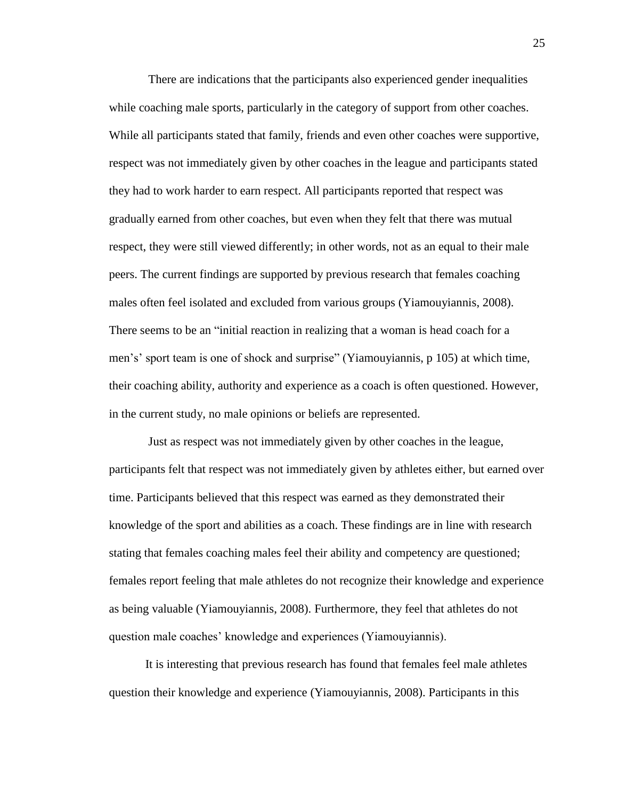There are indications that the participants also experienced gender inequalities while coaching male sports, particularly in the category of support from other coaches. While all participants stated that family, friends and even other coaches were supportive, respect was not immediately given by other coaches in the league and participants stated they had to work harder to earn respect. All participants reported that respect was gradually earned from other coaches, but even when they felt that there was mutual respect, they were still viewed differently; in other words, not as an equal to their male peers. The current findings are supported by previous research that females coaching males often feel isolated and excluded from various groups (Yiamouyiannis, 2008). There seems to be an "initial reaction in realizing that a woman is head coach for a men"s" sport team is one of shock and surprise" (Yiamouyiannis, p 105) at which time, their coaching ability, authority and experience as a coach is often questioned. However, in the current study, no male opinions or beliefs are represented.

Just as respect was not immediately given by other coaches in the league, participants felt that respect was not immediately given by athletes either, but earned over time. Participants believed that this respect was earned as they demonstrated their knowledge of the sport and abilities as a coach. These findings are in line with research stating that females coaching males feel their ability and competency are questioned; females report feeling that male athletes do not recognize their knowledge and experience as being valuable (Yiamouyiannis, 2008). Furthermore, they feel that athletes do not question male coaches" knowledge and experiences (Yiamouyiannis).

It is interesting that previous research has found that females feel male athletes question their knowledge and experience (Yiamouyiannis, 2008). Participants in this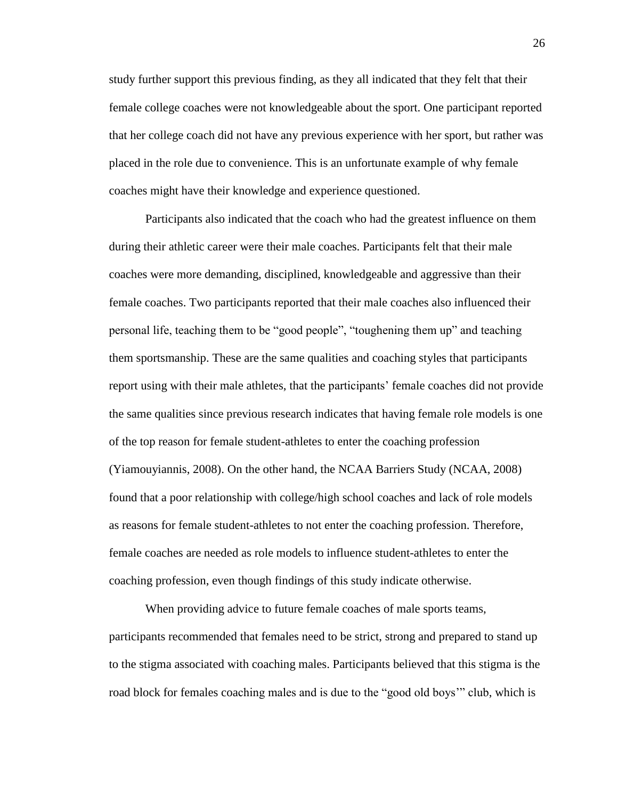study further support this previous finding, as they all indicated that they felt that their female college coaches were not knowledgeable about the sport. One participant reported that her college coach did not have any previous experience with her sport, but rather was placed in the role due to convenience. This is an unfortunate example of why female coaches might have their knowledge and experience questioned.

Participants also indicated that the coach who had the greatest influence on them during their athletic career were their male coaches. Participants felt that their male coaches were more demanding, disciplined, knowledgeable and aggressive than their female coaches. Two participants reported that their male coaches also influenced their personal life, teaching them to be "good people", "toughening them up" and teaching them sportsmanship. These are the same qualities and coaching styles that participants report using with their male athletes, that the participants" female coaches did not provide the same qualities since previous research indicates that having female role models is one of the top reason for female student-athletes to enter the coaching profession (Yiamouyiannis, 2008). On the other hand, the NCAA Barriers Study (NCAA, 2008) found that a poor relationship with college/high school coaches and lack of role models as reasons for female student-athletes to not enter the coaching profession. Therefore, female coaches are needed as role models to influence student-athletes to enter the coaching profession, even though findings of this study indicate otherwise.

When providing advice to future female coaches of male sports teams, participants recommended that females need to be strict, strong and prepared to stand up to the stigma associated with coaching males. Participants believed that this stigma is the road block for females coaching males and is due to the "good old boys"" club, which is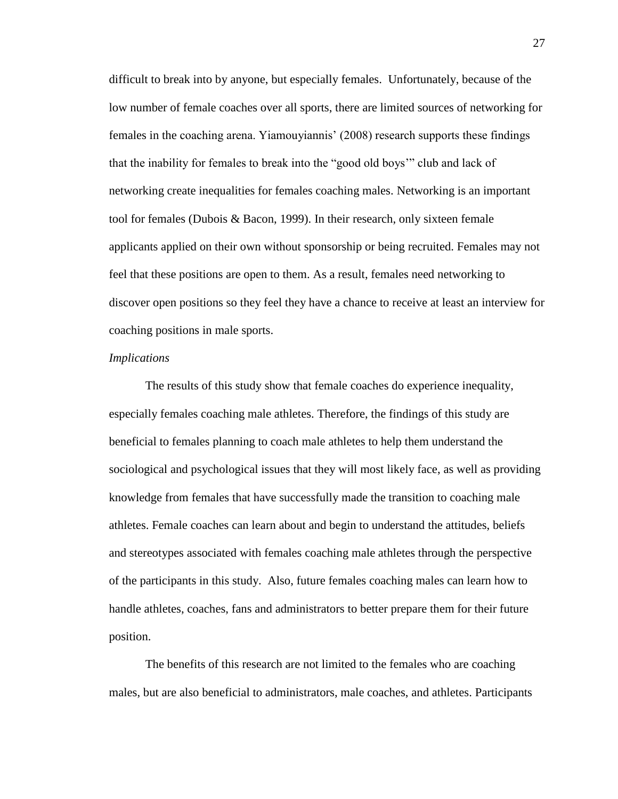difficult to break into by anyone, but especially females. Unfortunately, because of the low number of female coaches over all sports, there are limited sources of networking for females in the coaching arena. Yiamouyiannis" (2008) research supports these findings that the inability for females to break into the "good old boys"" club and lack of networking create inequalities for females coaching males. Networking is an important tool for females (Dubois & Bacon, 1999). In their research, only sixteen female applicants applied on their own without sponsorship or being recruited. Females may not feel that these positions are open to them. As a result, females need networking to discover open positions so they feel they have a chance to receive at least an interview for coaching positions in male sports.

#### *Implications*

The results of this study show that female coaches do experience inequality, especially females coaching male athletes. Therefore, the findings of this study are beneficial to females planning to coach male athletes to help them understand the sociological and psychological issues that they will most likely face, as well as providing knowledge from females that have successfully made the transition to coaching male athletes. Female coaches can learn about and begin to understand the attitudes, beliefs and stereotypes associated with females coaching male athletes through the perspective of the participants in this study. Also, future females coaching males can learn how to handle athletes, coaches, fans and administrators to better prepare them for their future position.

The benefits of this research are not limited to the females who are coaching males, but are also beneficial to administrators, male coaches, and athletes. Participants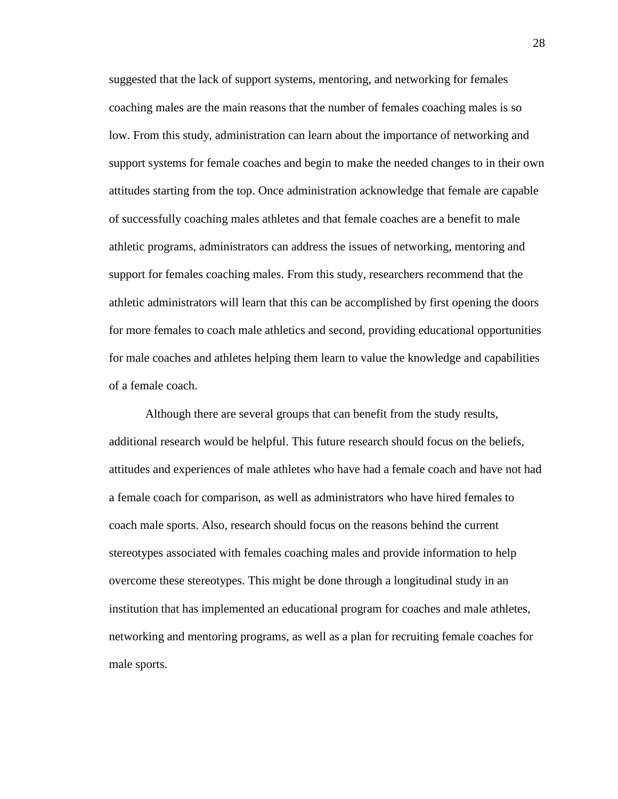suggested that the lack of support systems, mentoring, and networking for females coaching males are the main reasons that the number of females coaching males is so low. From this study, administration can learn about the importance of networking and support systems for female coaches and begin to make the needed changes to in their own attitudes starting from the top. Once administration acknowledge that female are capable of successfully coaching males athletes and that female coaches are a benefit to male athletic programs, administrators can address the issues of networking, mentoring and support for females coaching males. From this study, researchers recommend that the athletic administrators will learn that this can be accomplished by first opening the doors for more females to coach male athletics and second, providing educational opportunities for male coaches and athletes helping them learn to value the knowledge and capabilities of a female coach.

Although there are several groups that can benefit from the study results, additional research would be helpful. This future research should focus on the beliefs, attitudes and experiences of male athletes who have had a female coach and have not had a female coach for comparison, as well as administrators who have hired females to coach male sports. Also, research should focus on the reasons behind the current stereotypes associated with females coaching males and provide information to help overcome these stereotypes. This might be done through a longitudinal study in an institution that has implemented an educational program for coaches and male athletes, networking and mentoring programs, as well as a plan for recruiting female coaches for male sports.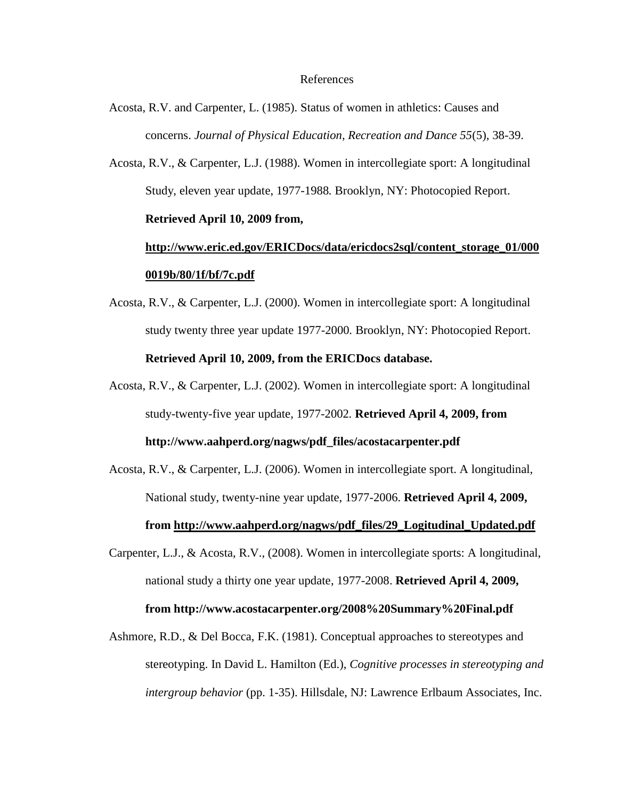#### References

- Acosta, R.V. and Carpenter, L. (1985). Status of women in athletics: Causes and concerns. *Journal of Physical Education, Recreation and Dance 55*(5), 38-39.
- Acosta, R.V., & Carpenter, L.J. (1988). Women in intercollegiate sport: A longitudinal Study, eleven year update, 1977-1988*.* Brooklyn, NY: Photocopied Report. **Retrieved April 10, 2009 from,**

# **[http://www.eric.ed.gov/ERICDocs/data/ericdocs2sql/content\\_storage\\_01/000](http://www.eric.ed.gov/ERICDocs/data/ericdocs2sql/content_storage_01/0000019b/80/1f/bf/7c.pdf) [0019b/80/1f/bf/7c.pdf](http://www.eric.ed.gov/ERICDocs/data/ericdocs2sql/content_storage_01/0000019b/80/1f/bf/7c.pdf)**

- Acosta, R.V., & Carpenter, L.J. (2000). Women in intercollegiate sport: A longitudinal study twenty three year update 1977-2000*.* Brooklyn, NY: Photocopied Report. **Retrieved April 10, 2009, from the ERICDocs database.**
- Acosta, R.V., & Carpenter, L.J. (2002). Women in intercollegiate sport: A longitudinal study-twenty-five year update, 1977-2002*.* **Retrieved April 4, 2009, from http://www.aahperd.org/nagws/pdf\_files/acostacarpenter.pdf**
- Acosta, R.V., & Carpenter, L.J. (2006). Women in intercollegiate sport. A longitudinal, National study, twenty-nine year update, 1977-2006. **Retrieved April 4, 2009, from [http://www.aahperd.org/nagws/pdf\\_files/29\\_Logitudinal\\_Updated.pdf](http://www.aahperd.org/nagws/pdf_files/29_Logitudinal_Updated.pdf)**
- Carpenter, L.J., & Acosta, R.V., (2008). Women in intercollegiate sports: A longitudinal, national study a thirty one year update, 1977-2008. **Retrieved April 4, 2009, from http://www.acostacarpenter.org/2008%20Summary%20Final.pdf**
- Ashmore, R.D., & Del Bocca, F.K. (1981). Conceptual approaches to stereotypes and stereotyping. In David L. Hamilton (Ed.), *Cognitive processes in stereotyping and intergroup behavior* (pp. 1-35). Hillsdale, NJ: Lawrence Erlbaum Associates, Inc.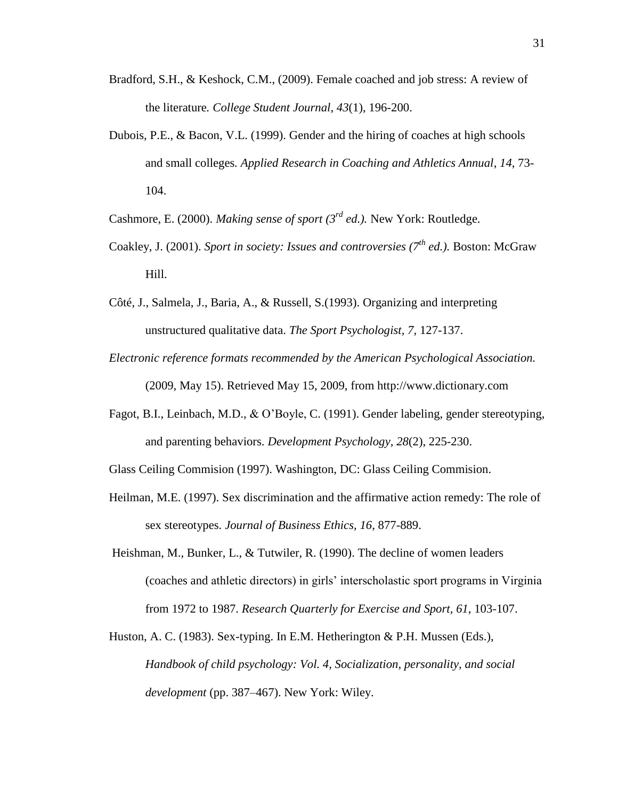- Bradford, S.H., & Keshock, C.M., (2009). Female coached and job stress: A review of the literature*. College Student Journal*, *43*(1), 196-200.
- Dubois, P.E., & Bacon, V.L. (1999). Gender and the hiring of coaches at high schools and small colleges*. Applied Research in Coaching and Athletics Annual*, *14*, 73- 104.

Cashmore, E. (2000). *Making sense of sport (3rd ed.).* New York: Routledge.

- Coakley, J. (2001). *Sport in society: Issues and controversies (7th ed.).* Boston: McGraw Hill.
- Côté, J., Salmela, J., Baria, A., & Russell, S.(1993). Organizing and interpreting unstructured qualitative data. *The Sport Psychologist, 7,* 127-137.
- *Electronic reference formats recommended by the American Psychological Association.*  (2009, May 15). Retrieved May 15, 2009, from http://www.dictionary.com
- Fagot, B.I., Leinbach, M.D., & O"Boyle, C. (1991). Gender labeling, gender stereotyping, and parenting behaviors. *Development Psychology, 28*(2), 225-230.
- Glass Ceiling Commision (1997). Washington, DC: Glass Ceiling Commision.
- Heilman, M.E. (1997). Sex discrimination and the affirmative action remedy: The role of sex stereotypes. *Journal of Business Ethics, 16*, 877-889.
- Heishman, M., Bunker, L., & Tutwiler, R. (1990). The decline of women leaders (coaches and athletic directors) in girls" interscholastic sport programs in Virginia from 1972 to 1987. *Research Quarterly for Exercise and Sport, 61*, 103-107.
- Huston, A. C. (1983). Sex-typing. In E.M. Hetherington & P.H. Mussen (Eds.), *Handbook of child psychology: Vol. 4, Socialization, personality, and social development* (pp. 387–467). New York: Wiley.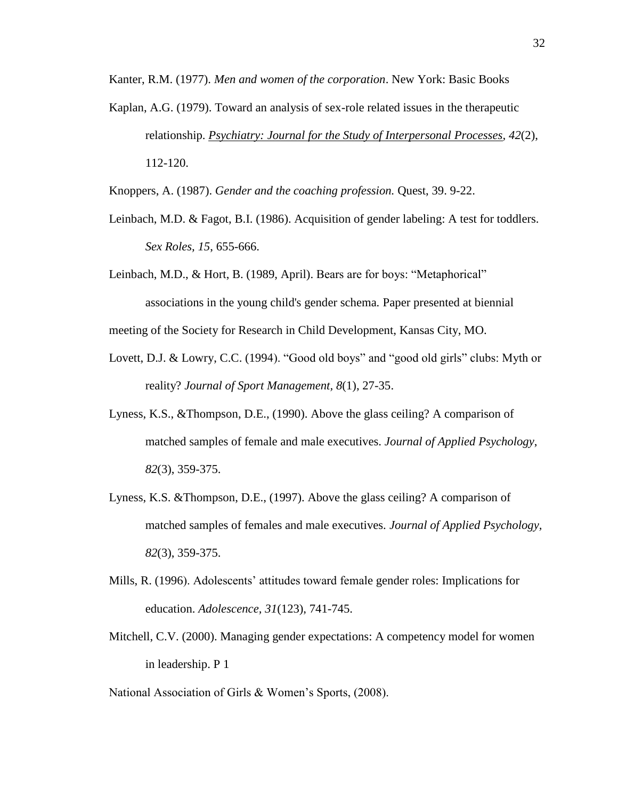Kanter, R.M. (1977). *Men and women of the corporation*. New York: Basic Books

Kaplan, A.G. (1979). Toward an analysis of sex-role related issues in the therapeutic relationship. *[Psychiatry: Journal for the Study of Interpersonal Processes,](javascript:__doLinkPostBack() 42*(2), 112-120.

Knoppers, A. (1987). *Gender and the coaching profession.* Quest, 39. 9-22.

- Leinbach, M.D. & Fagot, B.I. (1986). Acquisition of gender labeling: A test for toddlers. *Sex Roles, 15*, 655-666.
- Leinbach, M.D., & Hort, B. (1989, April). Bears are for boys: "Metaphorical" associations in the young child's gender schema*.* Paper presented at biennial

meeting of the Society for Research in Child Development, Kansas City, MO.

- Lovett, D.J. & Lowry, C.C. (1994). "Good old boys" and "good old girls" clubs: Myth or reality? *Journal of Sport Management, 8*(1), 27-35.
- Lyness, K.S., &Thompson, D.E., (1990). Above the glass ceiling? A comparison of matched samples of female and male executives. *Journal of Applied Psychology*, *82*(3), 359-375.
- Lyness, K.S. &Thompson, D.E., (1997). Above the glass ceiling? A comparison of matched samples of females and male executives. *Journal of Applied Psychology, 82*(3), 359-375.
- Mills, R. (1996). Adolescents" attitudes toward female gender roles: Implications for education. *Adolescence, 31*(123), 741-745.
- Mitchell, C.V. (2000). Managing gender expectations: A competency model for women in leadership. P 1

National Association of Girls & Women's Sports, (2008).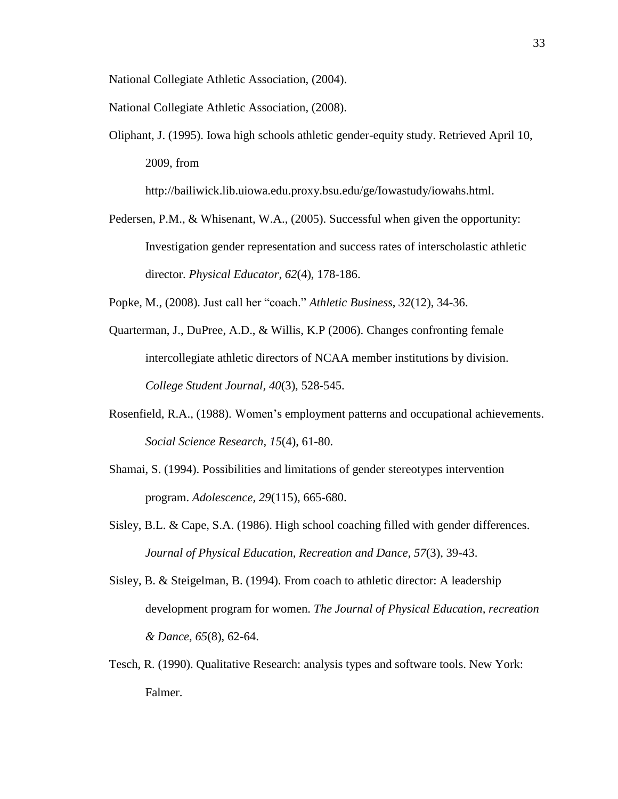National Collegiate Athletic Association, (2004).

National Collegiate Athletic Association, (2008).

Oliphant, J. (1995). Iowa high schools athletic gender-equity study. Retrieved April 10, 2009, from

http://bailiwick.lib.uiowa.edu.proxy.bsu.edu/ge/Iowastudy/iowahs.html.

Pedersen, P.M., & Whisenant, W.A., (2005). Successful when given the opportunity: Investigation gender representation and success rates of interscholastic athletic director. *Physical Educator*, *62*(4), 178-186.

Popke, M., (2008). Just call her "coach." *Athletic Business*, *32*(12), 34-36.

- Quarterman, J., DuPree, A.D., & Willis, K.P (2006). Changes confronting female intercollegiate athletic directors of NCAA member institutions by division. *College Student Journal, 40*(3), 528-545.
- Rosenfield, R.A., (1988). Women"s employment patterns and occupational achievements. *Social Science Research, 15*(4), 61-80.
- Shamai, S. (1994). Possibilities and limitations of gender stereotypes intervention program. *Adolescence, 29*(115), 665-680.
- Sisley, B.L. & Cape, S.A. (1986). High school coaching filled with gender differences. *Journal of Physical Education, Recreation and Dance, 57*(3), 39-43.
- Sisley, B. & Steigelman, B. (1994). From coach to athletic director: A leadership development program for women. *The Journal of Physical Education, recreation & Dance, 65*(8), 62-64.
- Tesch, R. (1990). Qualitative Research: analysis types and software tools. New York: Falmer.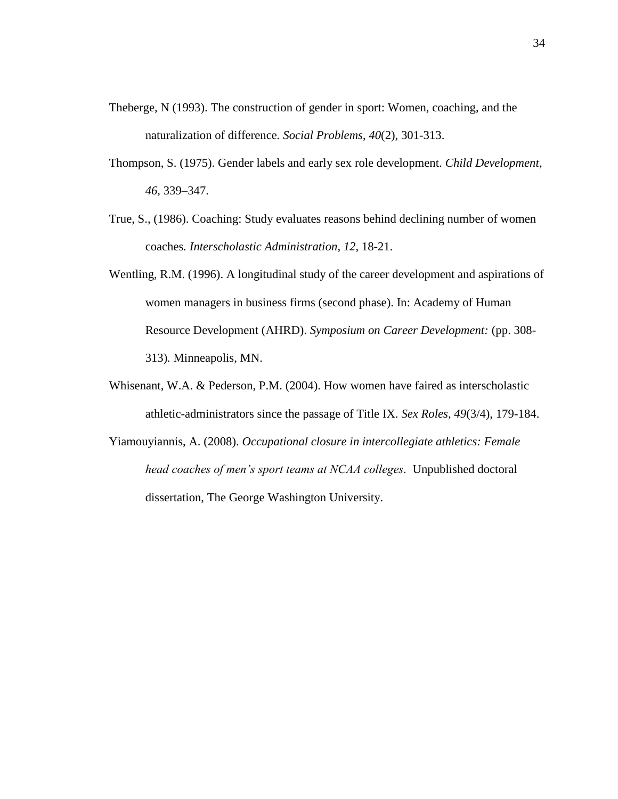- Theberge, N (1993). The construction of gender in sport: Women, coaching, and the naturalization of difference*. Social Problems*, *40*(2), 301-313.
- Thompson, S. (1975). Gender labels and early sex role development. *Child Development*, *46*, 339–347.
- True, S., (1986). Coaching: Study evaluates reasons behind declining number of women coaches*. Interscholastic Administration*, *12*, 18-21.
- Wentling, R.M. (1996). A longitudinal study of the career development and aspirations of women managers in business firms (second phase). In: Academy of Human Resource Development (AHRD). *Symposium on Career Development:* (pp. 308- 313)*.* Minneapolis, MN.
- Whisenant, W.A. & Pederson, P.M. (2004). How women have faired as interscholastic athletic-administrators since the passage of Title IX. *Sex Roles, 49*(3/4), 179-184.
- Yiamouyiannis, A. (2008). *Occupational closure in intercollegiate athletics: Female head coaches of men's sport teams at NCAA colleges.* Unpublished doctoral dissertation, The George Washington University.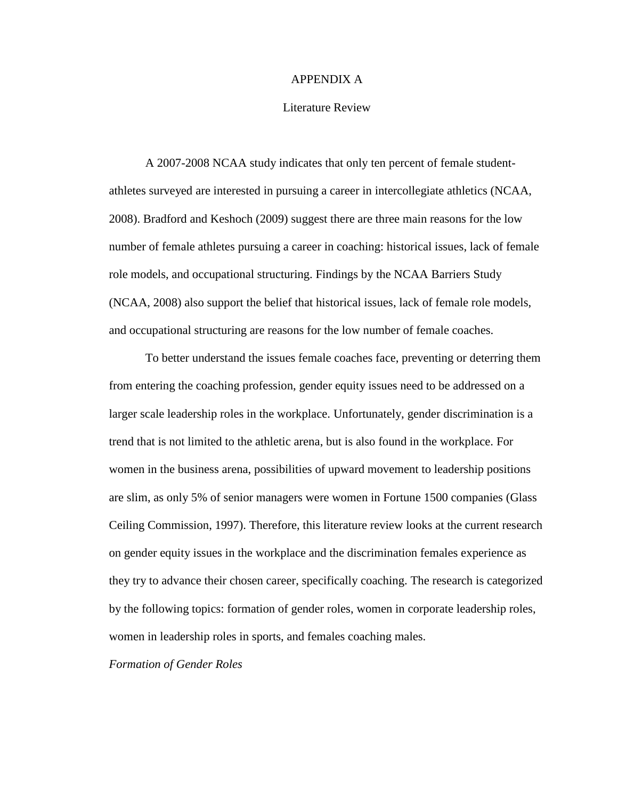#### APPENDIX A

#### Literature Review

A 2007-2008 NCAA study indicates that only ten percent of female studentathletes surveyed are interested in pursuing a career in intercollegiate athletics (NCAA, 2008). Bradford and Keshoch (2009) suggest there are three main reasons for the low number of female athletes pursuing a career in coaching: historical issues, lack of female role models, and occupational structuring. Findings by the NCAA Barriers Study (NCAA, 2008) also support the belief that historical issues, lack of female role models, and occupational structuring are reasons for the low number of female coaches.

To better understand the issues female coaches face, preventing or deterring them from entering the coaching profession, gender equity issues need to be addressed on a larger scale leadership roles in the workplace. Unfortunately, gender discrimination is a trend that is not limited to the athletic arena, but is also found in the workplace. For women in the business arena, possibilities of upward movement to leadership positions are slim, as only 5% of senior managers were women in Fortune 1500 companies (Glass Ceiling Commission, 1997). Therefore, this literature review looks at the current research on gender equity issues in the workplace and the discrimination females experience as they try to advance their chosen career, specifically coaching. The research is categorized by the following topics: formation of gender roles, women in corporate leadership roles, women in leadership roles in sports, and females coaching males.

*Formation of Gender Roles*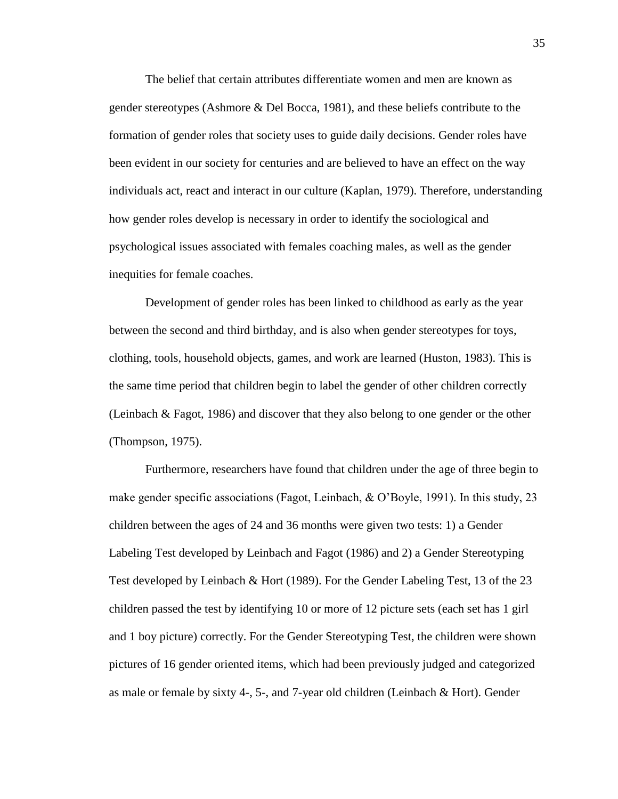The belief that certain attributes differentiate women and men are known as gender stereotypes (Ashmore & Del Bocca, 1981), and these beliefs contribute to the formation of gender roles that society uses to guide daily decisions. Gender roles have been evident in our society for centuries and are believed to have an effect on the way individuals act, react and interact in our culture (Kaplan, 1979). Therefore, understanding how gender roles develop is necessary in order to identify the sociological and psychological issues associated with females coaching males, as well as the gender inequities for female coaches.

Development of gender roles has been linked to childhood as early as the year between the second and third birthday, and is also when gender stereotypes for toys, clothing, tools, household objects, games, and work are learned (Huston, 1983). This is the same time period that children begin to label the gender of other children correctly (Leinbach & Fagot, 1986) and discover that they also belong to one gender or the other (Thompson, 1975).

Furthermore, researchers have found that children under the age of three begin to make gender specific associations (Fagot, Leinbach,  $\&$  O'Boyle, 1991). In this study, 23 children between the ages of 24 and 36 months were given two tests: 1) a Gender Labeling Test developed by Leinbach and Fagot (1986) and 2) a Gender Stereotyping Test developed by Leinbach & Hort (1989). For the Gender Labeling Test, 13 of the 23 children passed the test by identifying 10 or more of 12 picture sets (each set has 1 girl and 1 boy picture) correctly. For the Gender Stereotyping Test, the children were shown pictures of 16 gender oriented items, which had been previously judged and categorized as male or female by sixty 4-, 5-, and 7-year old children (Leinbach & Hort). Gender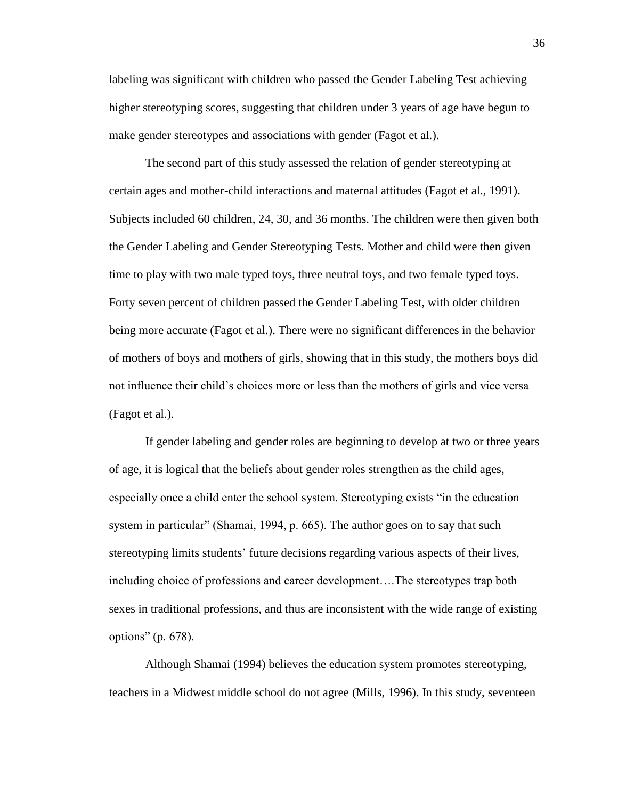labeling was significant with children who passed the Gender Labeling Test achieving higher stereotyping scores, suggesting that children under 3 years of age have begun to make gender stereotypes and associations with gender (Fagot et al.).

The second part of this study assessed the relation of gender stereotyping at certain ages and mother-child interactions and maternal attitudes (Fagot et al., 1991). Subjects included 60 children, 24, 30, and 36 months. The children were then given both the Gender Labeling and Gender Stereotyping Tests. Mother and child were then given time to play with two male typed toys, three neutral toys, and two female typed toys. Forty seven percent of children passed the Gender Labeling Test, with older children being more accurate (Fagot et al.). There were no significant differences in the behavior of mothers of boys and mothers of girls, showing that in this study, the mothers boys did not influence their child"s choices more or less than the mothers of girls and vice versa (Fagot et al.).

If gender labeling and gender roles are beginning to develop at two or three years of age, it is logical that the beliefs about gender roles strengthen as the child ages, especially once a child enter the school system. Stereotyping exists "in the education system in particular" (Shamai, 1994, p. 665). The author goes on to say that such stereotyping limits students" future decisions regarding various aspects of their lives, including choice of professions and career development….The stereotypes trap both sexes in traditional professions, and thus are inconsistent with the wide range of existing options" (p. 678).

Although Shamai (1994) believes the education system promotes stereotyping, teachers in a Midwest middle school do not agree (Mills, 1996). In this study, seventeen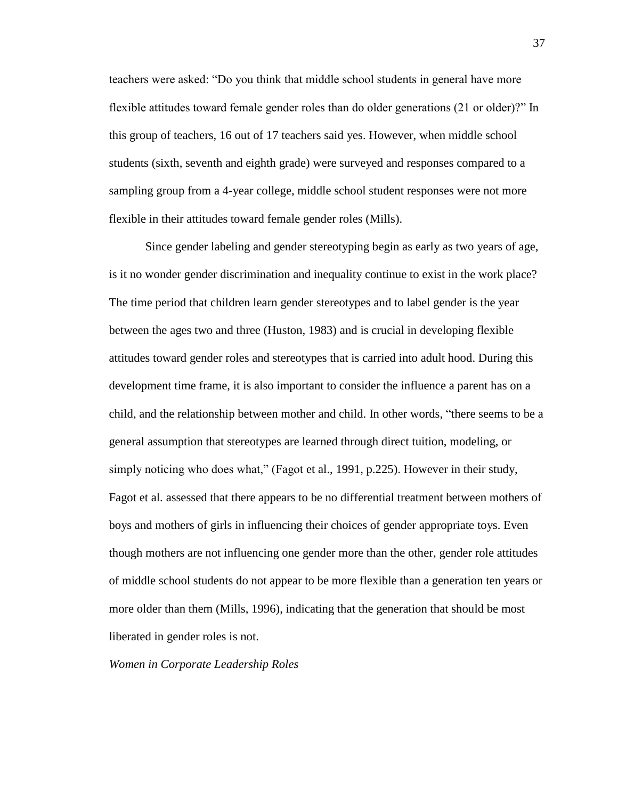teachers were asked: "Do you think that middle school students in general have more flexible attitudes toward female gender roles than do older generations (21 or older)?" In this group of teachers, 16 out of 17 teachers said yes. However, when middle school students (sixth, seventh and eighth grade) were surveyed and responses compared to a sampling group from a 4-year college, middle school student responses were not more flexible in their attitudes toward female gender roles (Mills).

Since gender labeling and gender stereotyping begin as early as two years of age, is it no wonder gender discrimination and inequality continue to exist in the work place? The time period that children learn gender stereotypes and to label gender is the year between the ages two and three (Huston, 1983) and is crucial in developing flexible attitudes toward gender roles and stereotypes that is carried into adult hood. During this development time frame, it is also important to consider the influence a parent has on a child, and the relationship between mother and child. In other words, "there seems to be a general assumption that stereotypes are learned through direct tuition, modeling, or simply noticing who does what," (Fagot et al., 1991, p.225). However in their study, Fagot et al. assessed that there appears to be no differential treatment between mothers of boys and mothers of girls in influencing their choices of gender appropriate toys. Even though mothers are not influencing one gender more than the other, gender role attitudes of middle school students do not appear to be more flexible than a generation ten years or more older than them (Mills, 1996), indicating that the generation that should be most liberated in gender roles is not.

*Women in Corporate Leadership Roles*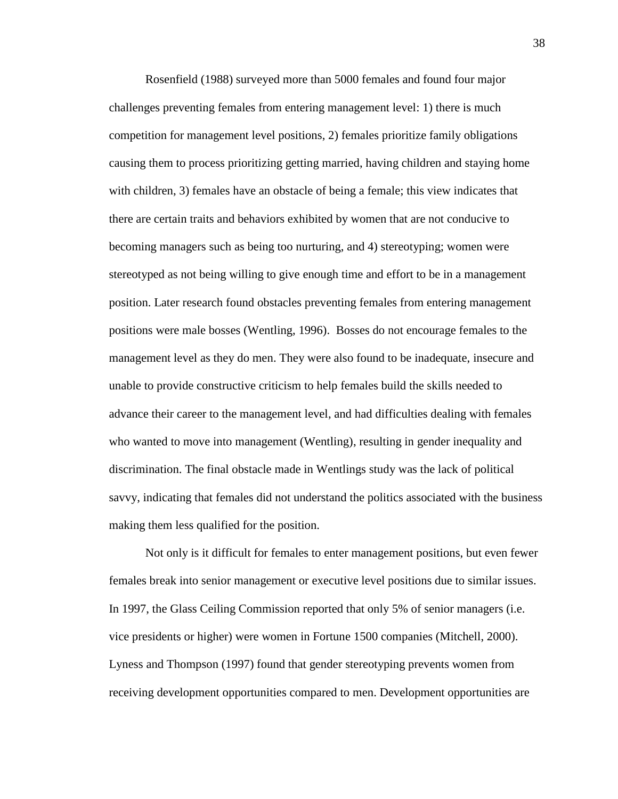Rosenfield (1988) surveyed more than 5000 females and found four major challenges preventing females from entering management level: 1) there is much competition for management level positions, 2) females prioritize family obligations causing them to process prioritizing getting married, having children and staying home with children, 3) females have an obstacle of being a female; this view indicates that there are certain traits and behaviors exhibited by women that are not conducive to becoming managers such as being too nurturing, and 4) stereotyping; women were stereotyped as not being willing to give enough time and effort to be in a management position. Later research found obstacles preventing females from entering management positions were male bosses (Wentling, 1996). Bosses do not encourage females to the management level as they do men. They were also found to be inadequate, insecure and unable to provide constructive criticism to help females build the skills needed to advance their career to the management level, and had difficulties dealing with females who wanted to move into management (Wentling), resulting in gender inequality and discrimination. The final obstacle made in Wentlings study was the lack of political savvy, indicating that females did not understand the politics associated with the business making them less qualified for the position.

Not only is it difficult for females to enter management positions, but even fewer females break into senior management or executive level positions due to similar issues. In 1997, the Glass Ceiling Commission reported that only 5% of senior managers (i.e. vice presidents or higher) were women in Fortune 1500 companies (Mitchell, 2000). Lyness and Thompson (1997) found that gender stereotyping prevents women from receiving development opportunities compared to men. Development opportunities are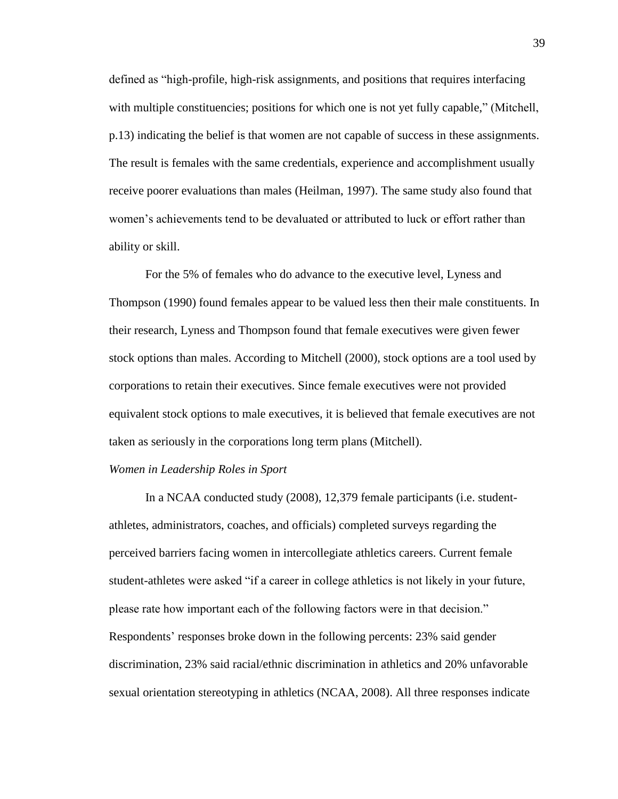defined as "high-profile, high-risk assignments, and positions that requires interfacing with multiple constituencies; positions for which one is not yet fully capable," (Mitchell, p.13) indicating the belief is that women are not capable of success in these assignments. The result is females with the same credentials, experience and accomplishment usually receive poorer evaluations than males (Heilman, 1997). The same study also found that women's achievements tend to be devaluated or attributed to luck or effort rather than ability or skill.

For the 5% of females who do advance to the executive level, Lyness and Thompson (1990) found females appear to be valued less then their male constituents. In their research, Lyness and Thompson found that female executives were given fewer stock options than males. According to Mitchell (2000), stock options are a tool used by corporations to retain their executives. Since female executives were not provided equivalent stock options to male executives, it is believed that female executives are not taken as seriously in the corporations long term plans (Mitchell).

#### *Women in Leadership Roles in Sport*

In a NCAA conducted study (2008), 12,379 female participants (i.e. studentathletes, administrators, coaches, and officials) completed surveys regarding the perceived barriers facing women in intercollegiate athletics careers. Current female student-athletes were asked "if a career in college athletics is not likely in your future, please rate how important each of the following factors were in that decision." Respondents' responses broke down in the following percents: 23% said gender discrimination, 23% said racial/ethnic discrimination in athletics and 20% unfavorable sexual orientation stereotyping in athletics (NCAA, 2008). All three responses indicate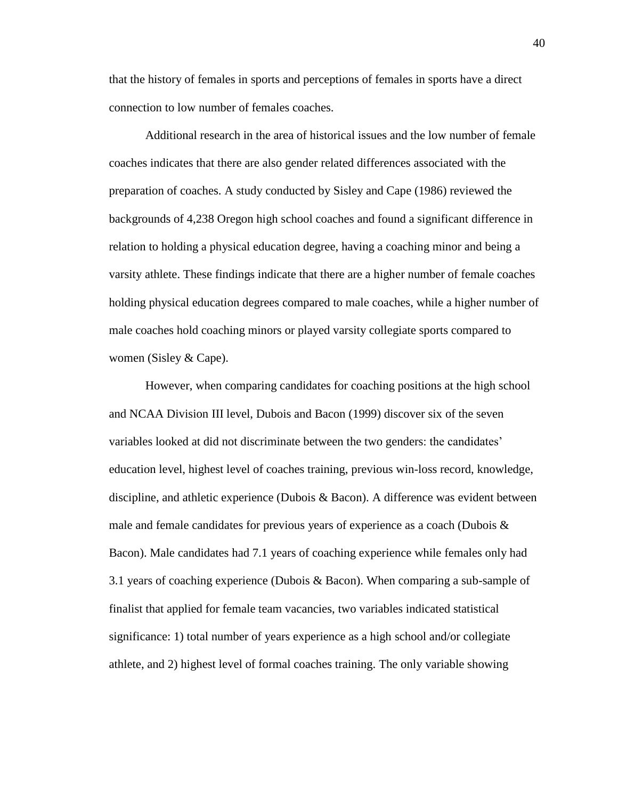that the history of females in sports and perceptions of females in sports have a direct connection to low number of females coaches.

Additional research in the area of historical issues and the low number of female coaches indicates that there are also gender related differences associated with the preparation of coaches. A study conducted by Sisley and Cape (1986) reviewed the backgrounds of 4,238 Oregon high school coaches and found a significant difference in relation to holding a physical education degree, having a coaching minor and being a varsity athlete. These findings indicate that there are a higher number of female coaches holding physical education degrees compared to male coaches, while a higher number of male coaches hold coaching minors or played varsity collegiate sports compared to women (Sisley & Cape).

However, when comparing candidates for coaching positions at the high school and NCAA Division III level, Dubois and Bacon (1999) discover six of the seven variables looked at did not discriminate between the two genders: the candidates" education level, highest level of coaches training, previous win-loss record, knowledge, discipline, and athletic experience (Dubois & Bacon). A difference was evident between male and female candidates for previous years of experience as a coach (Dubois  $\&$ Bacon). Male candidates had 7.1 years of coaching experience while females only had 3.1 years of coaching experience (Dubois & Bacon). When comparing a sub-sample of finalist that applied for female team vacancies, two variables indicated statistical significance: 1) total number of years experience as a high school and/or collegiate athlete, and 2) highest level of formal coaches training. The only variable showing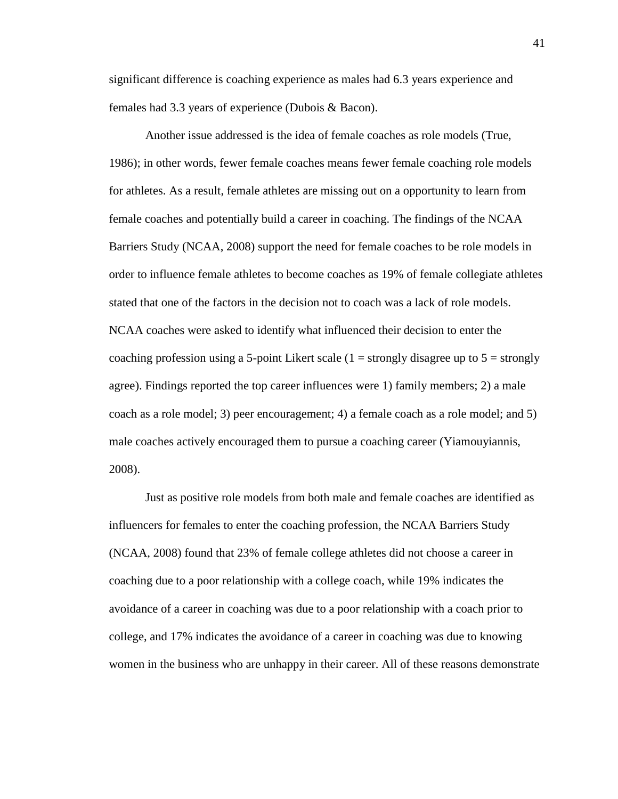significant difference is coaching experience as males had 6.3 years experience and females had 3.3 years of experience (Dubois & Bacon).

Another issue addressed is the idea of female coaches as role models (True, 1986); in other words, fewer female coaches means fewer female coaching role models for athletes. As a result, female athletes are missing out on a opportunity to learn from female coaches and potentially build a career in coaching. The findings of the NCAA Barriers Study (NCAA, 2008) support the need for female coaches to be role models in order to influence female athletes to become coaches as 19% of female collegiate athletes stated that one of the factors in the decision not to coach was a lack of role models. NCAA coaches were asked to identify what influenced their decision to enter the coaching profession using a 5-point Likert scale  $(1 =$  strongly disagree up to  $5 =$  strongly agree). Findings reported the top career influences were 1) family members; 2) a male coach as a role model; 3) peer encouragement; 4) a female coach as a role model; and 5) male coaches actively encouraged them to pursue a coaching career (Yiamouyiannis, 2008).

Just as positive role models from both male and female coaches are identified as influencers for females to enter the coaching profession, the NCAA Barriers Study (NCAA, 2008) found that 23% of female college athletes did not choose a career in coaching due to a poor relationship with a college coach, while 19% indicates the avoidance of a career in coaching was due to a poor relationship with a coach prior to college, and 17% indicates the avoidance of a career in coaching was due to knowing women in the business who are unhappy in their career. All of these reasons demonstrate

41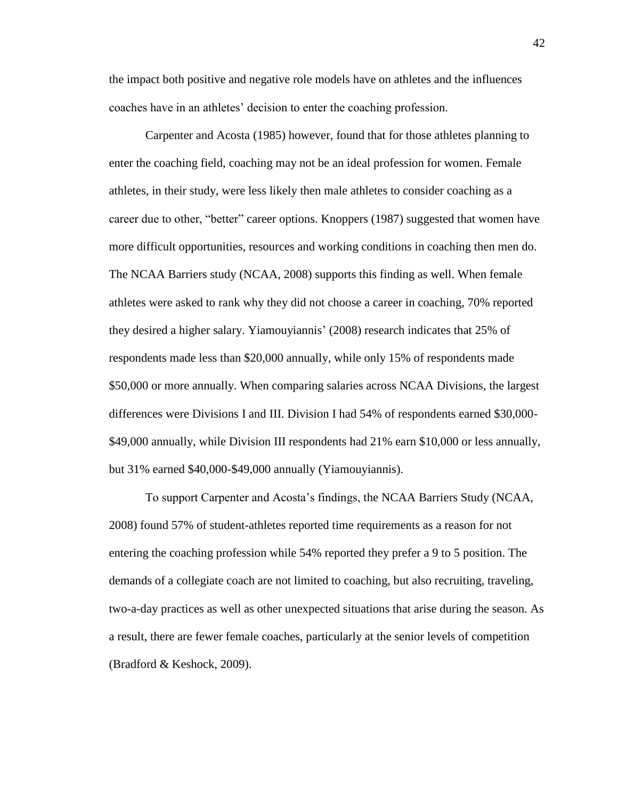the impact both positive and negative role models have on athletes and the influences coaches have in an athletes" decision to enter the coaching profession.

Carpenter and Acosta (1985) however, found that for those athletes planning to enter the coaching field, coaching may not be an ideal profession for women. Female athletes, in their study, were less likely then male athletes to consider coaching as a career due to other, "better" career options. Knoppers (1987) suggested that women have more difficult opportunities, resources and working conditions in coaching then men do. The NCAA Barriers study (NCAA, 2008) supports this finding as well. When female athletes were asked to rank why they did not choose a career in coaching, 70% reported they desired a higher salary. Yiamouyiannis" (2008) research indicates that 25% of respondents made less than \$20,000 annually, while only 15% of respondents made \$50,000 or more annually. When comparing salaries across NCAA Divisions, the largest differences were Divisions I and III. Division I had 54% of respondents earned \$30,000- \$49,000 annually, while Division III respondents had 21% earn \$10,000 or less annually, but 31% earned \$40,000-\$49,000 annually (Yiamouyiannis).

To support Carpenter and Acosta"s findings, the NCAA Barriers Study (NCAA, 2008) found 57% of student-athletes reported time requirements as a reason for not entering the coaching profession while 54% reported they prefer a 9 to 5 position. The demands of a collegiate coach are not limited to coaching, but also recruiting, traveling, two-a-day practices as well as other unexpected situations that arise during the season. As a result, there are fewer female coaches, particularly at the senior levels of competition (Bradford & Keshock, 2009).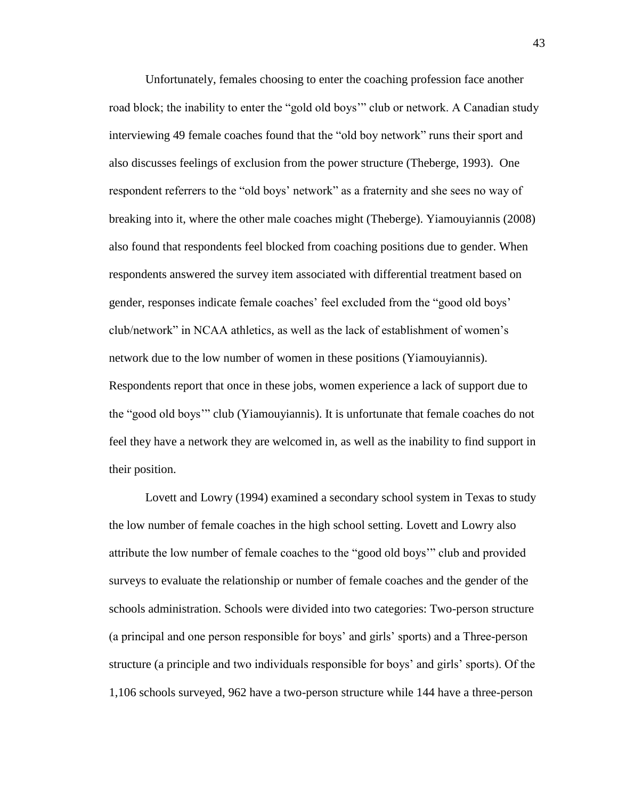Unfortunately, females choosing to enter the coaching profession face another road block; the inability to enter the "gold old boys"" club or network. A Canadian study interviewing 49 female coaches found that the "old boy network" runs their sport and also discusses feelings of exclusion from the power structure (Theberge, 1993). One respondent referrers to the "old boys' network" as a fraternity and she sees no way of breaking into it, where the other male coaches might (Theberge). Yiamouyiannis (2008) also found that respondents feel blocked from coaching positions due to gender. When respondents answered the survey item associated with differential treatment based on gender, responses indicate female coaches" feel excluded from the "good old boys" club/network" in NCAA athletics, as well as the lack of establishment of women"s network due to the low number of women in these positions (Yiamouyiannis). Respondents report that once in these jobs, women experience a lack of support due to the "good old boys"" club (Yiamouyiannis). It is unfortunate that female coaches do not feel they have a network they are welcomed in, as well as the inability to find support in their position.

Lovett and Lowry (1994) examined a secondary school system in Texas to study the low number of female coaches in the high school setting. Lovett and Lowry also attribute the low number of female coaches to the "good old boys"" club and provided surveys to evaluate the relationship or number of female coaches and the gender of the schools administration. Schools were divided into two categories: Two-person structure (a principal and one person responsible for boys" and girls" sports) and a Three-person structure (a principle and two individuals responsible for boys" and girls" sports). Of the 1,106 schools surveyed, 962 have a two-person structure while 144 have a three-person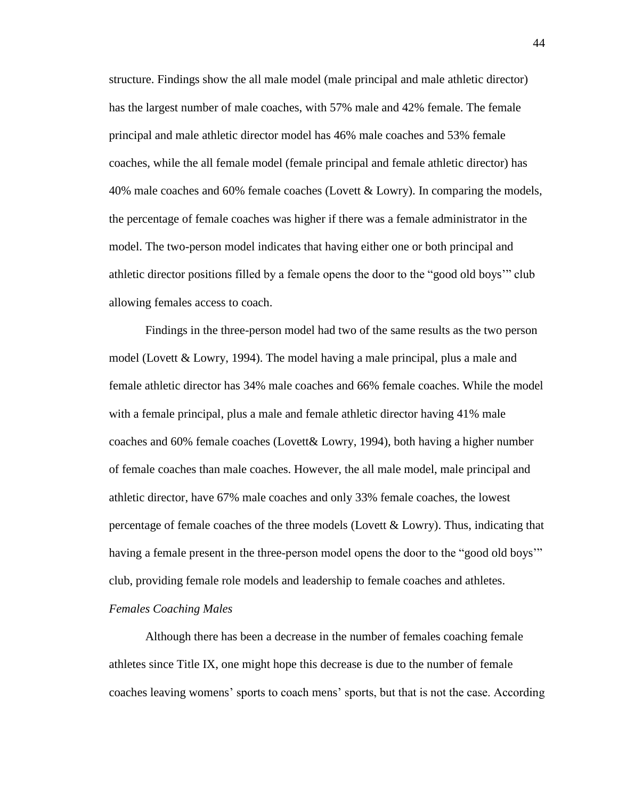structure. Findings show the all male model (male principal and male athletic director) has the largest number of male coaches, with 57% male and 42% female. The female principal and male athletic director model has 46% male coaches and 53% female coaches, while the all female model (female principal and female athletic director) has 40% male coaches and 60% female coaches (Lovett & Lowry). In comparing the models, the percentage of female coaches was higher if there was a female administrator in the model. The two-person model indicates that having either one or both principal and athletic director positions filled by a female opens the door to the "good old boys"" club allowing females access to coach.

Findings in the three-person model had two of the same results as the two person model (Lovett & Lowry, 1994). The model having a male principal, plus a male and female athletic director has 34% male coaches and 66% female coaches. While the model with a female principal, plus a male and female athletic director having 41% male coaches and 60% female coaches (Lovett& Lowry, 1994), both having a higher number of female coaches than male coaches. However, the all male model, male principal and athletic director, have 67% male coaches and only 33% female coaches, the lowest percentage of female coaches of the three models (Lovett & Lowry). Thus, indicating that having a female present in the three-person model opens the door to the "good old boys"" club, providing female role models and leadership to female coaches and athletes. *Females Coaching Males*

Although there has been a decrease in the number of females coaching female athletes since Title IX, one might hope this decrease is due to the number of female coaches leaving womens" sports to coach mens" sports, but that is not the case. According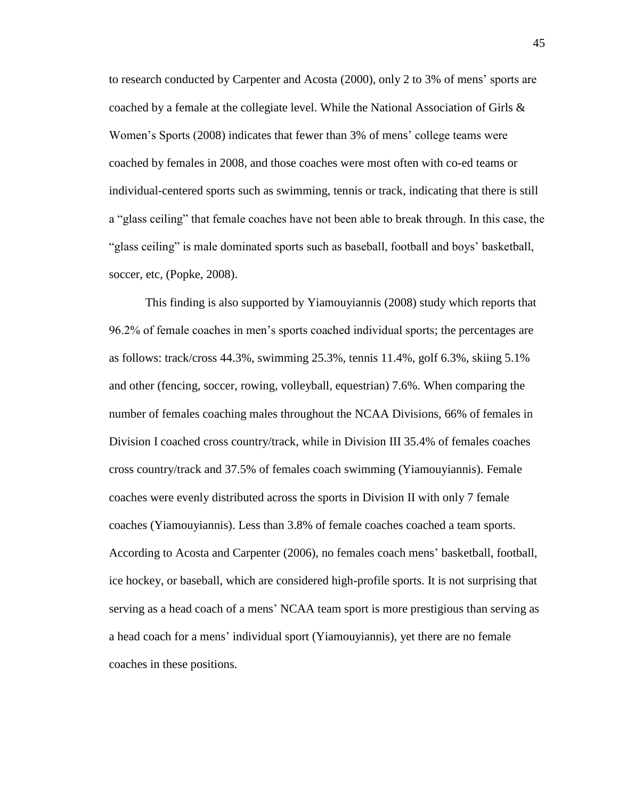to research conducted by Carpenter and Acosta (2000), only 2 to 3% of mens" sports are coached by a female at the collegiate level. While the National Association of Girls & Women"s Sports (2008) indicates that fewer than 3% of mens" college teams were coached by females in 2008, and those coaches were most often with co-ed teams or individual-centered sports such as swimming, tennis or track, indicating that there is still a "glass ceiling" that female coaches have not been able to break through. In this case, the "glass ceiling" is male dominated sports such as baseball, football and boys' basketball, soccer, etc, (Popke, 2008).

This finding is also supported by Yiamouyiannis (2008) study which reports that 96.2% of female coaches in men"s sports coached individual sports; the percentages are as follows: track/cross 44.3%, swimming 25.3%, tennis 11.4%, golf 6.3%, skiing 5.1% and other (fencing, soccer, rowing, volleyball, equestrian) 7.6%. When comparing the number of females coaching males throughout the NCAA Divisions, 66% of females in Division I coached cross country/track, while in Division III 35.4% of females coaches cross country/track and 37.5% of females coach swimming (Yiamouyiannis). Female coaches were evenly distributed across the sports in Division II with only 7 female coaches (Yiamouyiannis). Less than 3.8% of female coaches coached a team sports. According to Acosta and Carpenter (2006), no females coach mens" basketball, football, ice hockey, or baseball, which are considered high-profile sports. It is not surprising that serving as a head coach of a mens" NCAA team sport is more prestigious than serving as a head coach for a mens" individual sport (Yiamouyiannis), yet there are no female coaches in these positions.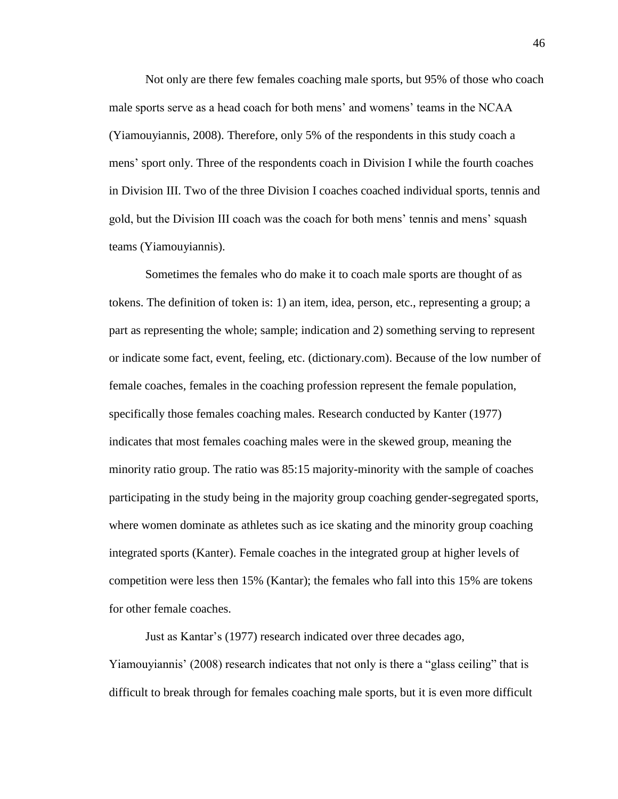Not only are there few females coaching male sports, but 95% of those who coach male sports serve as a head coach for both mens' and womens' teams in the NCAA (Yiamouyiannis, 2008). Therefore, only 5% of the respondents in this study coach a mens" sport only. Three of the respondents coach in Division I while the fourth coaches in Division III. Two of the three Division I coaches coached individual sports, tennis and gold, but the Division III coach was the coach for both mens" tennis and mens" squash teams (Yiamouyiannis).

Sometimes the females who do make it to coach male sports are thought of as tokens. The definition of token is: 1) an item, idea, person, etc., representing a group; a part as representing the whole; sample; indication and 2) something serving to represent or indicate some fact, event, feeling, etc. (dictionary.com). Because of the low number of female coaches, females in the coaching profession represent the female population, specifically those females coaching males. Research conducted by Kanter (1977) indicates that most females coaching males were in the skewed group, meaning the minority ratio group. The ratio was 85:15 majority-minority with the sample of coaches participating in the study being in the majority group coaching gender-segregated sports, where women dominate as athletes such as ice skating and the minority group coaching integrated sports (Kanter). Female coaches in the integrated group at higher levels of competition were less then 15% (Kantar); the females who fall into this 15% are tokens for other female coaches.

Just as Kantar"s (1977) research indicated over three decades ago, Yiamouyiannis" (2008) research indicates that not only is there a "glass ceiling" that is difficult to break through for females coaching male sports, but it is even more difficult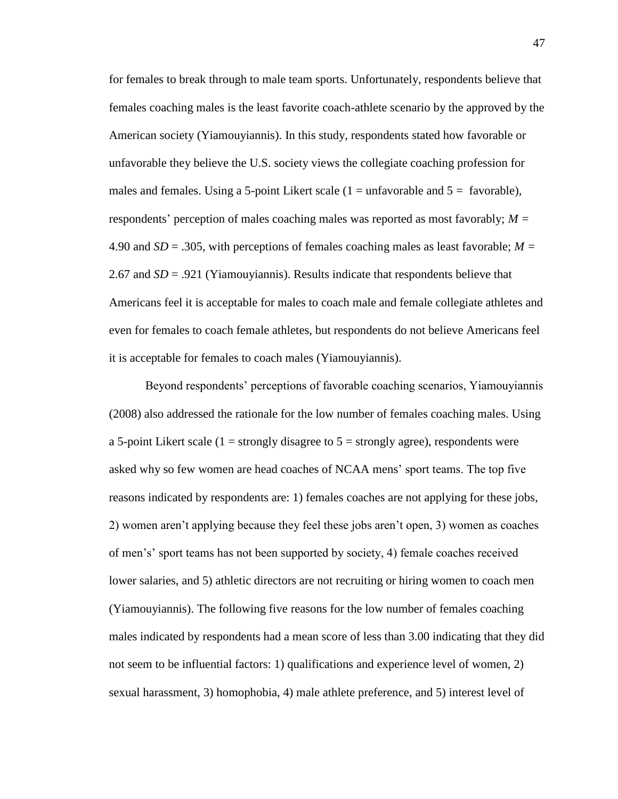for females to break through to male team sports. Unfortunately, respondents believe that females coaching males is the least favorite coach-athlete scenario by the approved by the American society (Yiamouyiannis). In this study, respondents stated how favorable or unfavorable they believe the U.S. society views the collegiate coaching profession for males and females. Using a 5-point Likert scale  $(1 = \text{unfavorable and } 5 = \text{favorable})$ , respondents" perception of males coaching males was reported as most favorably; *M =*  4.90 and *SD* = .305, with perceptions of females coaching males as least favorable; *M =* 2.67 and *SD* = .921 (Yiamouyiannis). Results indicate that respondents believe that Americans feel it is acceptable for males to coach male and female collegiate athletes and even for females to coach female athletes, but respondents do not believe Americans feel it is acceptable for females to coach males (Yiamouyiannis).

Beyond respondents" perceptions of favorable coaching scenarios, Yiamouyiannis (2008) also addressed the rationale for the low number of females coaching males. Using a 5-point Likert scale (1 = strongly disagree to  $5$  = strongly agree), respondents were asked why so few women are head coaches of NCAA mens" sport teams. The top five reasons indicated by respondents are: 1) females coaches are not applying for these jobs, 2) women aren"t applying because they feel these jobs aren"t open, 3) women as coaches of men"s" sport teams has not been supported by society, 4) female coaches received lower salaries, and 5) athletic directors are not recruiting or hiring women to coach men (Yiamouyiannis). The following five reasons for the low number of females coaching males indicated by respondents had a mean score of less than 3.00 indicating that they did not seem to be influential factors: 1) qualifications and experience level of women, 2) sexual harassment, 3) homophobia, 4) male athlete preference, and 5) interest level of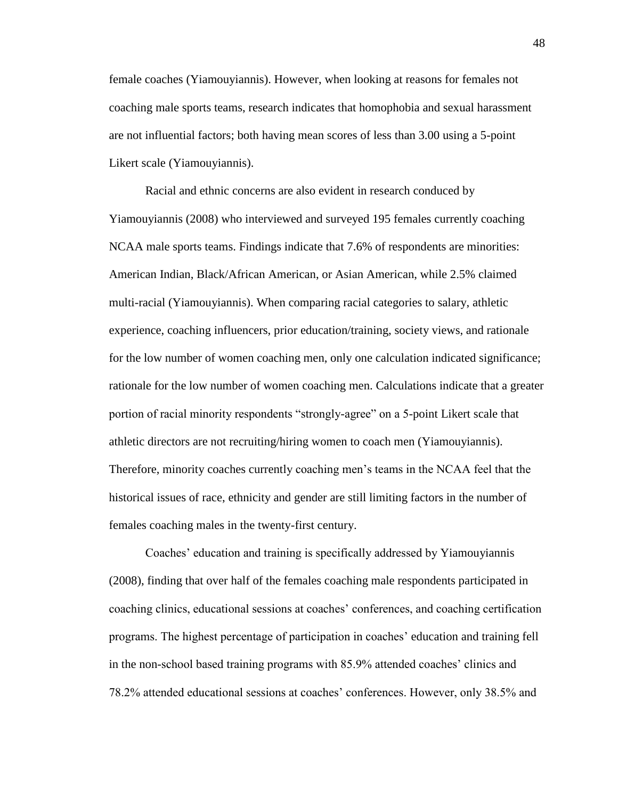female coaches (Yiamouyiannis). However, when looking at reasons for females not coaching male sports teams, research indicates that homophobia and sexual harassment are not influential factors; both having mean scores of less than 3.00 using a 5-point Likert scale (Yiamouyiannis).

Racial and ethnic concerns are also evident in research conduced by Yiamouyiannis (2008) who interviewed and surveyed 195 females currently coaching NCAA male sports teams. Findings indicate that 7.6% of respondents are minorities: American Indian, Black/African American, or Asian American, while 2.5% claimed multi-racial (Yiamouyiannis). When comparing racial categories to salary, athletic experience, coaching influencers, prior education/training, society views, and rationale for the low number of women coaching men, only one calculation indicated significance; rationale for the low number of women coaching men. Calculations indicate that a greater portion of racial minority respondents "strongly-agree" on a 5-point Likert scale that athletic directors are not recruiting/hiring women to coach men (Yiamouyiannis). Therefore, minority coaches currently coaching men"s teams in the NCAA feel that the historical issues of race, ethnicity and gender are still limiting factors in the number of females coaching males in the twenty-first century.

Coaches" education and training is specifically addressed by Yiamouyiannis (2008), finding that over half of the females coaching male respondents participated in coaching clinics, educational sessions at coaches" conferences, and coaching certification programs. The highest percentage of participation in coaches" education and training fell in the non-school based training programs with 85.9% attended coaches" clinics and 78.2% attended educational sessions at coaches" conferences. However, only 38.5% and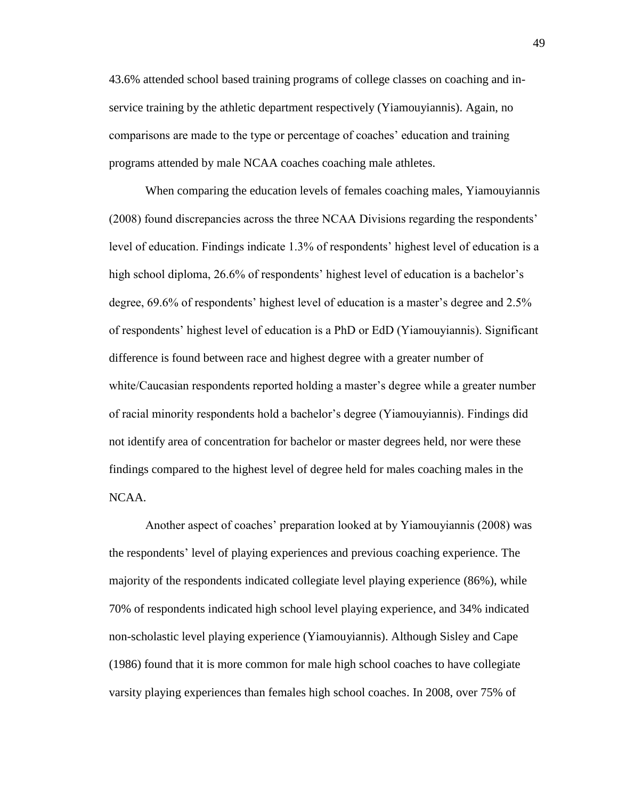43.6% attended school based training programs of college classes on coaching and inservice training by the athletic department respectively (Yiamouyiannis). Again, no comparisons are made to the type or percentage of coaches" education and training programs attended by male NCAA coaches coaching male athletes.

When comparing the education levels of females coaching males, Yiamouyiannis (2008) found discrepancies across the three NCAA Divisions regarding the respondents" level of education. Findings indicate 1.3% of respondents' highest level of education is a high school diploma, 26.6% of respondents' highest level of education is a bachelor's degree, 69.6% of respondents" highest level of education is a master"s degree and 2.5% of respondents" highest level of education is a PhD or EdD (Yiamouyiannis). Significant difference is found between race and highest degree with a greater number of white/Caucasian respondents reported holding a master's degree while a greater number of racial minority respondents hold a bachelor"s degree (Yiamouyiannis). Findings did not identify area of concentration for bachelor or master degrees held, nor were these findings compared to the highest level of degree held for males coaching males in the NCAA.

Another aspect of coaches" preparation looked at by Yiamouyiannis (2008) was the respondents" level of playing experiences and previous coaching experience. The majority of the respondents indicated collegiate level playing experience (86%), while 70% of respondents indicated high school level playing experience, and 34% indicated non-scholastic level playing experience (Yiamouyiannis). Although Sisley and Cape (1986) found that it is more common for male high school coaches to have collegiate varsity playing experiences than females high school coaches. In 2008, over 75% of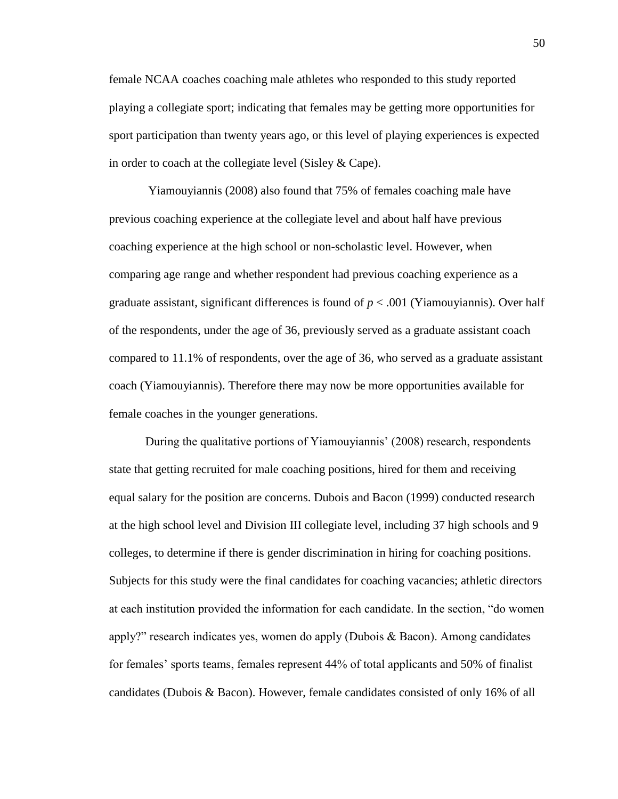female NCAA coaches coaching male athletes who responded to this study reported playing a collegiate sport; indicating that females may be getting more opportunities for sport participation than twenty years ago, or this level of playing experiences is expected in order to coach at the collegiate level (Sisley & Cape).

Yiamouyiannis (2008) also found that 75% of females coaching male have previous coaching experience at the collegiate level and about half have previous coaching experience at the high school or non-scholastic level. However, when comparing age range and whether respondent had previous coaching experience as a graduate assistant, significant differences is found of  $p < .001$  (Yiamouyiannis). Over half of the respondents, under the age of 36, previously served as a graduate assistant coach compared to 11.1% of respondents, over the age of 36, who served as a graduate assistant coach (Yiamouyiannis). Therefore there may now be more opportunities available for female coaches in the younger generations.

During the qualitative portions of Yiamouyiannis" (2008) research, respondents state that getting recruited for male coaching positions, hired for them and receiving equal salary for the position are concerns. Dubois and Bacon (1999) conducted research at the high school level and Division III collegiate level, including 37 high schools and 9 colleges, to determine if there is gender discrimination in hiring for coaching positions. Subjects for this study were the final candidates for coaching vacancies; athletic directors at each institution provided the information for each candidate. In the section, "do women apply?" research indicates yes, women do apply (Dubois & Bacon). Among candidates for females" sports teams, females represent 44% of total applicants and 50% of finalist candidates (Dubois & Bacon). However, female candidates consisted of only 16% of all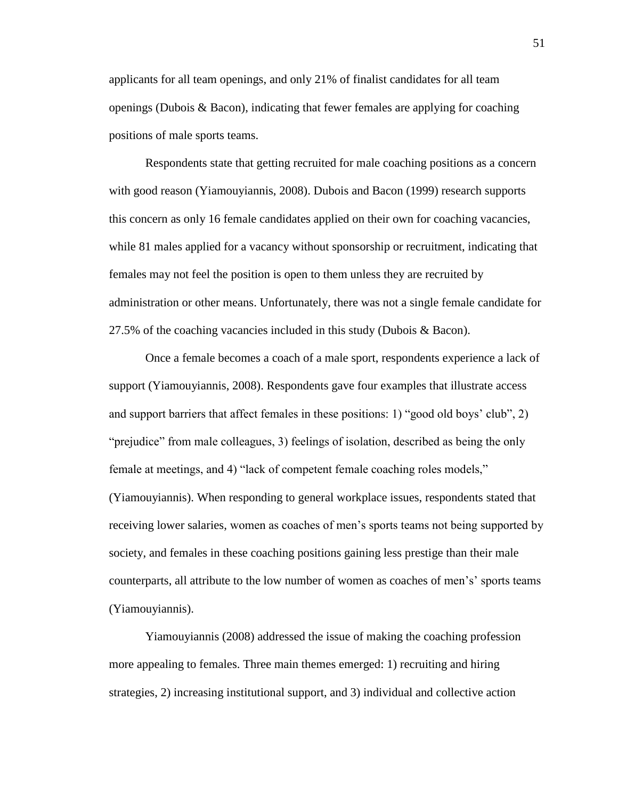applicants for all team openings, and only 21% of finalist candidates for all team openings (Dubois & Bacon), indicating that fewer females are applying for coaching positions of male sports teams.

Respondents state that getting recruited for male coaching positions as a concern with good reason (Yiamouyiannis, 2008). Dubois and Bacon (1999) research supports this concern as only 16 female candidates applied on their own for coaching vacancies, while 81 males applied for a vacancy without sponsorship or recruitment, indicating that females may not feel the position is open to them unless they are recruited by administration or other means. Unfortunately, there was not a single female candidate for 27.5% of the coaching vacancies included in this study (Dubois & Bacon).

Once a female becomes a coach of a male sport, respondents experience a lack of support (Yiamouyiannis, 2008). Respondents gave four examples that illustrate access and support barriers that affect females in these positions: 1) "good old boys" club", 2) "prejudice" from male colleagues, 3) feelings of isolation, described as being the only female at meetings, and 4) "lack of competent female coaching roles models," (Yiamouyiannis). When responding to general workplace issues, respondents stated that receiving lower salaries, women as coaches of men"s sports teams not being supported by society, and females in these coaching positions gaining less prestige than their male counterparts, all attribute to the low number of women as coaches of men's' sports teams (Yiamouyiannis).

Yiamouyiannis (2008) addressed the issue of making the coaching profession more appealing to females. Three main themes emerged: 1) recruiting and hiring strategies, 2) increasing institutional support, and 3) individual and collective action

51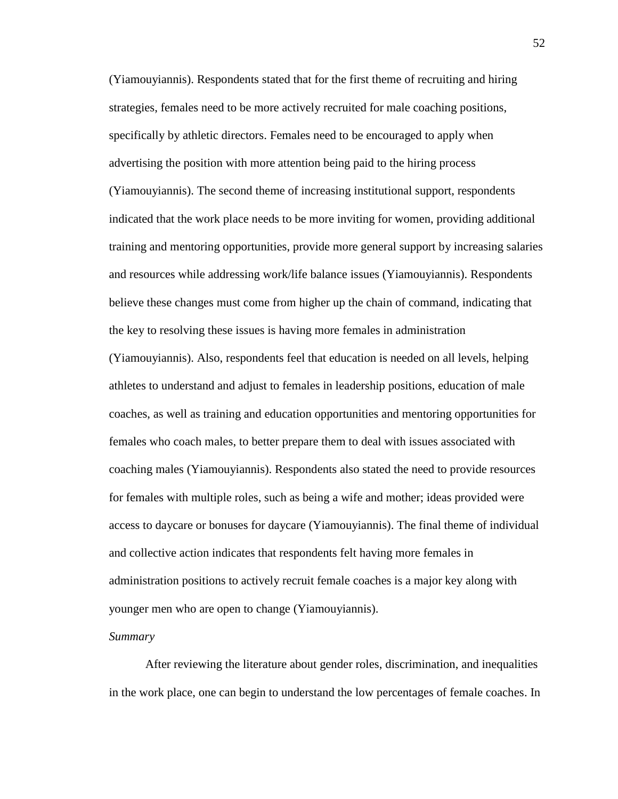(Yiamouyiannis). Respondents stated that for the first theme of recruiting and hiring strategies, females need to be more actively recruited for male coaching positions, specifically by athletic directors. Females need to be encouraged to apply when advertising the position with more attention being paid to the hiring process (Yiamouyiannis). The second theme of increasing institutional support, respondents indicated that the work place needs to be more inviting for women, providing additional training and mentoring opportunities, provide more general support by increasing salaries and resources while addressing work/life balance issues (Yiamouyiannis). Respondents believe these changes must come from higher up the chain of command, indicating that the key to resolving these issues is having more females in administration (Yiamouyiannis). Also, respondents feel that education is needed on all levels, helping athletes to understand and adjust to females in leadership positions, education of male coaches, as well as training and education opportunities and mentoring opportunities for females who coach males, to better prepare them to deal with issues associated with coaching males (Yiamouyiannis). Respondents also stated the need to provide resources for females with multiple roles, such as being a wife and mother; ideas provided were access to daycare or bonuses for daycare (Yiamouyiannis). The final theme of individual and collective action indicates that respondents felt having more females in administration positions to actively recruit female coaches is a major key along with younger men who are open to change (Yiamouyiannis).

#### *Summary*

After reviewing the literature about gender roles, discrimination, and inequalities in the work place, one can begin to understand the low percentages of female coaches. In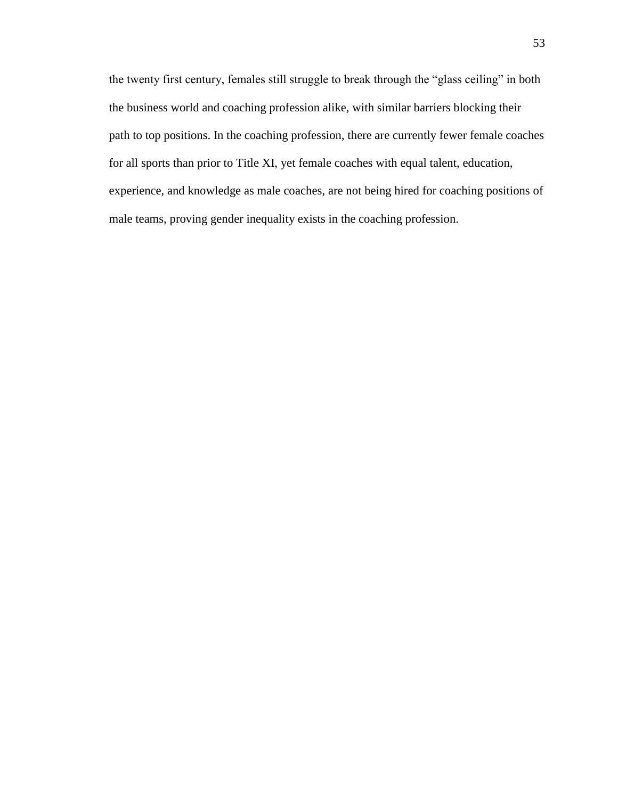the twenty first century, females still struggle to break through the "glass ceiling" in both the business world and coaching profession alike, with similar barriers blocking their path to top positions. In the coaching profession, there are currently fewer female coaches for all sports than prior to Title XI, yet female coaches with equal talent, education, experience, and knowledge as male coaches, are not being hired for coaching positions of male teams, proving gender inequality exists in the coaching profession.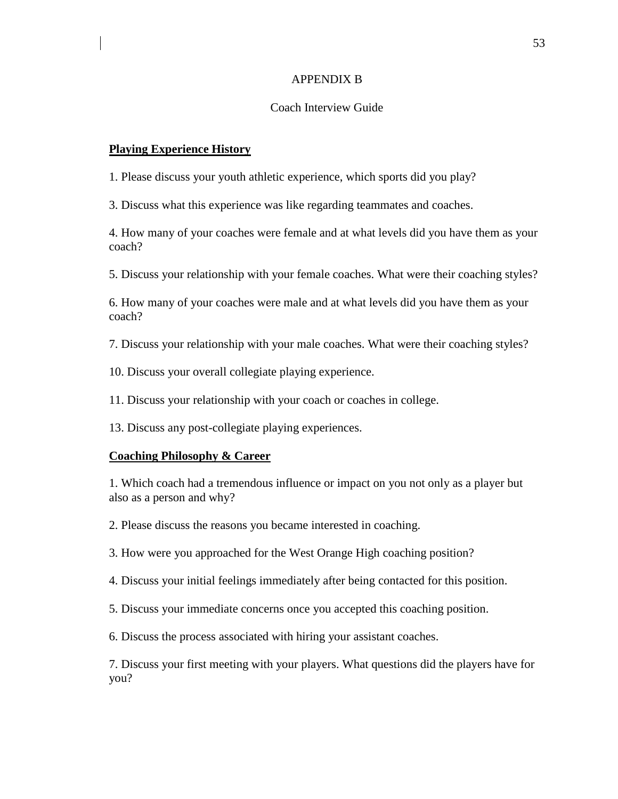#### APPENDIX B

#### Coach Interview Guide

#### **Playing Experience History**

1. Please discuss your youth athletic experience, which sports did you play?

3. Discuss what this experience was like regarding teammates and coaches.

4. How many of your coaches were female and at what levels did you have them as your coach?

5. Discuss your relationship with your female coaches. What were their coaching styles?

6. How many of your coaches were male and at what levels did you have them as your coach?

7. Discuss your relationship with your male coaches. What were their coaching styles?

10. Discuss your overall collegiate playing experience.

11. Discuss your relationship with your coach or coaches in college.

13. Discuss any post-collegiate playing experiences.

#### **Coaching Philosophy & Career**

1. Which coach had a tremendous influence or impact on you not only as a player but also as a person and why?

2. Please discuss the reasons you became interested in coaching.

3. How were you approached for the West Orange High coaching position?

4. Discuss your initial feelings immediately after being contacted for this position.

5. Discuss your immediate concerns once you accepted this coaching position.

6. Discuss the process associated with hiring your assistant coaches.

7. Discuss your first meeting with your players. What questions did the players have for you?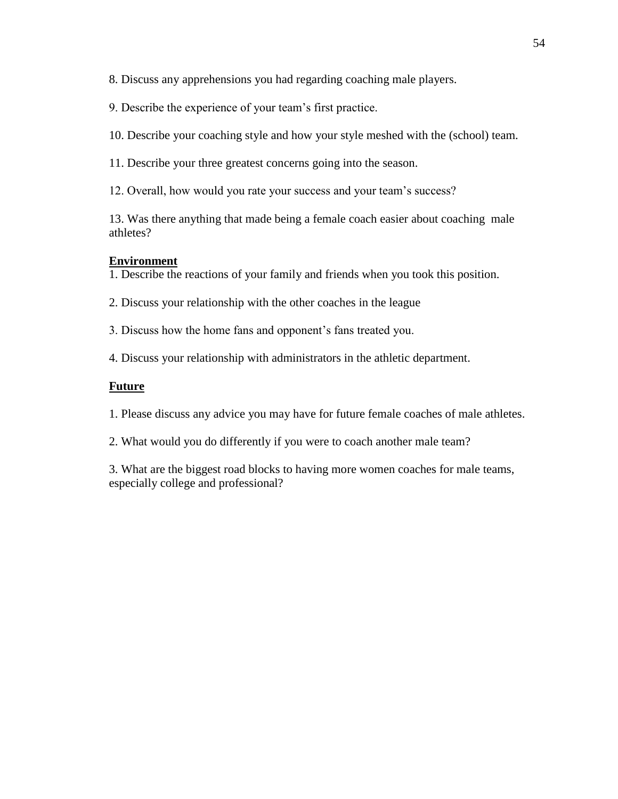8. Discuss any apprehensions you had regarding coaching male players.

9. Describe the experience of your team"s first practice.

10. Describe your coaching style and how your style meshed with the (school) team.

11. Describe your three greatest concerns going into the season.

12. Overall, how would you rate your success and your team"s success?

13. Was there anything that made being a female coach easier about coaching male athletes?

### **Environment**

1. Describe the reactions of your family and friends when you took this position.

2. Discuss your relationship with the other coaches in the league

3. Discuss how the home fans and opponent"s fans treated you.

4. Discuss your relationship with administrators in the athletic department.

### **Future**

1. Please discuss any advice you may have for future female coaches of male athletes.

2. What would you do differently if you were to coach another male team?

3. What are the biggest road blocks to having more women coaches for male teams, especially college and professional?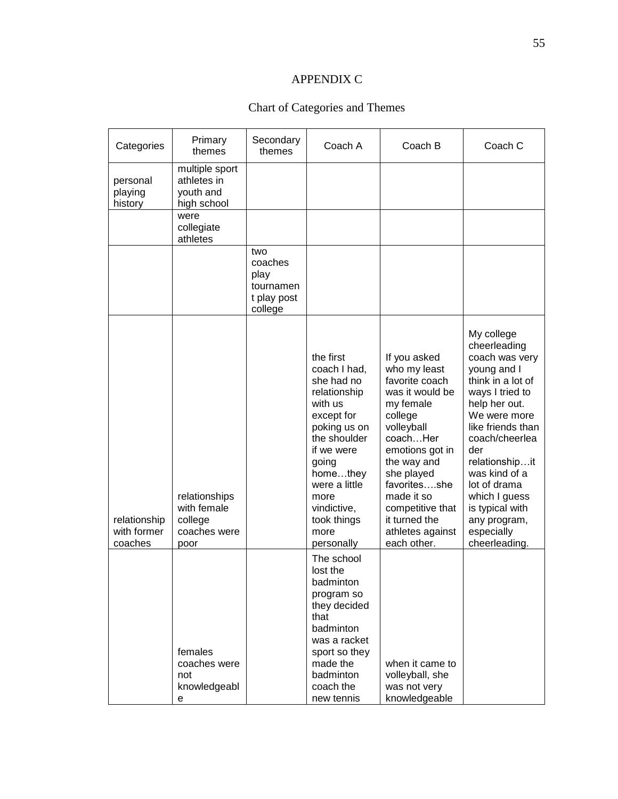### APPENDIX C

## Chart of Categories and Themes

| Categories                             | Primary<br>themes                                               | Secondary<br>themes                                           | Coach A                                                                                                                                                                                                                          | Coach B                                                                                                                                                                                                                                                                   | Coach C                                                                                                                                                                                                                                                                                                                  |
|----------------------------------------|-----------------------------------------------------------------|---------------------------------------------------------------|----------------------------------------------------------------------------------------------------------------------------------------------------------------------------------------------------------------------------------|---------------------------------------------------------------------------------------------------------------------------------------------------------------------------------------------------------------------------------------------------------------------------|--------------------------------------------------------------------------------------------------------------------------------------------------------------------------------------------------------------------------------------------------------------------------------------------------------------------------|
| personal<br>playing<br>history         | multiple sport<br>athletes in<br>youth and<br>high school       |                                                               |                                                                                                                                                                                                                                  |                                                                                                                                                                                                                                                                           |                                                                                                                                                                                                                                                                                                                          |
|                                        | were<br>collegiate<br>athletes                                  |                                                               |                                                                                                                                                                                                                                  |                                                                                                                                                                                                                                                                           |                                                                                                                                                                                                                                                                                                                          |
|                                        |                                                                 | two<br>coaches<br>play<br>tournamen<br>t play post<br>college |                                                                                                                                                                                                                                  |                                                                                                                                                                                                                                                                           |                                                                                                                                                                                                                                                                                                                          |
| relationship<br>with former<br>coaches | relationships<br>with female<br>college<br>coaches were<br>poor |                                                               | the first<br>coach I had,<br>she had no<br>relationship<br>with us<br>except for<br>poking us on<br>the shoulder<br>if we were<br>going<br>homethey<br>were a little<br>more<br>vindictive,<br>took things<br>more<br>personally | If you asked<br>who my least<br>favorite coach<br>was it would be<br>my female<br>college<br>volleyball<br>coachHer<br>emotions got in<br>the way and<br>she played<br>favoritesshe<br>made it so<br>competitive that<br>it turned the<br>athletes against<br>each other. | My college<br>cheerleading<br>coach was very<br>young and I<br>think in a lot of<br>ways I tried to<br>help her out.<br>We were more<br>like friends than<br>coach/cheerlea<br>der<br>relationshipit<br>was kind of a<br>lot of drama<br>which I guess<br>is typical with<br>any program,<br>especially<br>cheerleading. |
|                                        | females<br>coaches were<br>not<br>knowledgeabl<br>е             |                                                               | The school<br>lost the<br>badminton<br>program so<br>they decided<br>that<br>badminton<br>was a racket<br>sport so they<br>made the<br>badminton<br>coach the<br>new tennis                                                      | when it came to<br>volleyball, she<br>was not very<br>knowledgeable                                                                                                                                                                                                       |                                                                                                                                                                                                                                                                                                                          |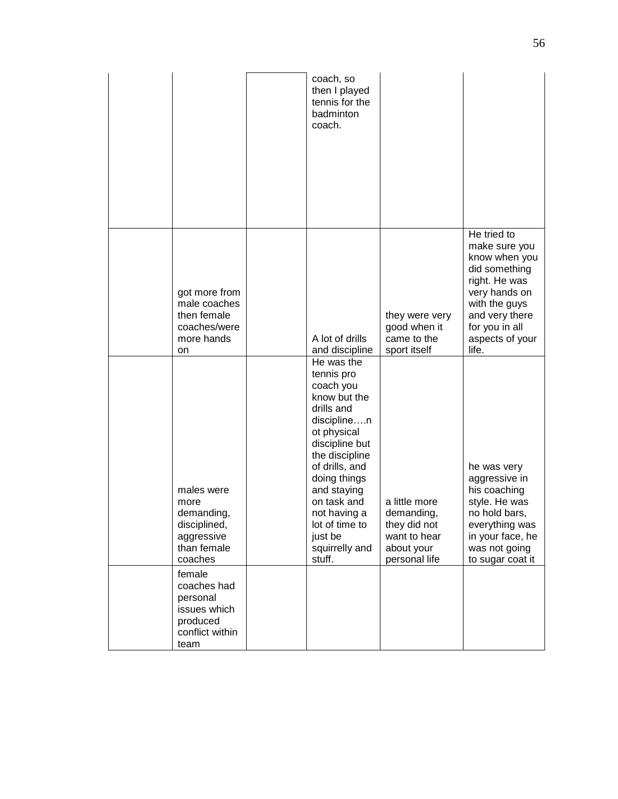|                                                                                          | coach, so<br>then I played<br>tennis for the<br>badminton<br>coach.                                                                                                                                                                                                            |                                                                                            |                                                                                                                                                                                   |
|------------------------------------------------------------------------------------------|--------------------------------------------------------------------------------------------------------------------------------------------------------------------------------------------------------------------------------------------------------------------------------|--------------------------------------------------------------------------------------------|-----------------------------------------------------------------------------------------------------------------------------------------------------------------------------------|
| got more from<br>male coaches<br>then female<br>coaches/were<br>more hands<br>on         | A lot of drills<br>and discipline                                                                                                                                                                                                                                              | they were very<br>good when it<br>came to the<br>sport itself                              | He tried to<br>make sure you<br>know when you<br>did something<br>right. He was<br>very hands on<br>with the guys<br>and very there<br>for you in all<br>aspects of your<br>life. |
| males were<br>more<br>demanding,<br>disciplined,<br>aggressive<br>than female<br>coaches | He was the<br>tennis pro<br>coach you<br>know but the<br>drills and<br>disciplinen<br>ot physical<br>discipline but<br>the discipline<br>of drills, and<br>doing things<br>and staying<br>on task and<br>not having a<br>lot of time to<br>just be<br>squirrelly and<br>stuff. | a little more<br>demanding,<br>they did not<br>want to hear<br>about your<br>personal life | he was very<br>aggressive in<br>his coaching<br>style. He was<br>no hold bars,<br>everything was<br>in your face, he<br>was not going<br>to sugar coat it                         |
| female<br>coaches had<br>personal<br>issues which<br>produced<br>conflict within<br>team |                                                                                                                                                                                                                                                                                |                                                                                            |                                                                                                                                                                                   |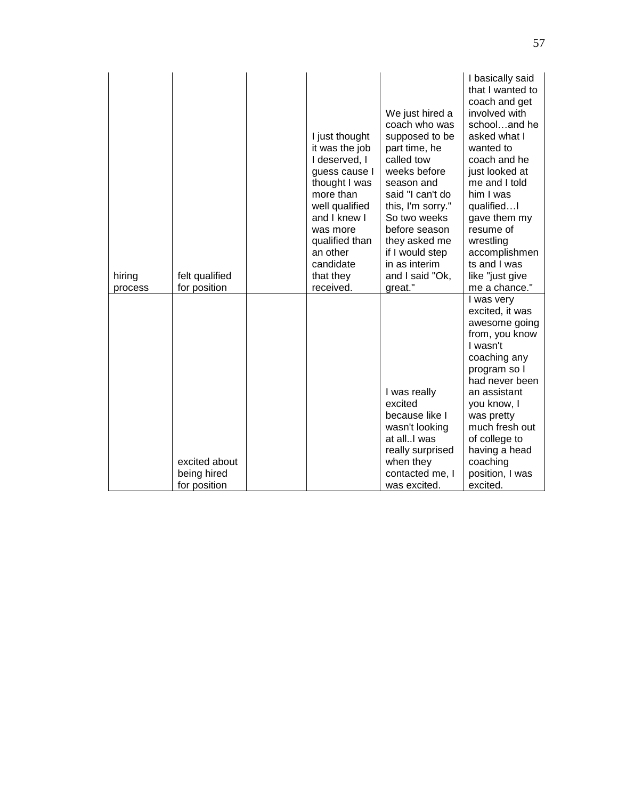| hiring<br>process | felt qualified<br>for position               | I just thought<br>it was the job<br>I deserved, I<br>guess cause I<br>thought I was<br>more than<br>well qualified<br>and I knew I<br>was more<br>qualified than<br>an other<br>candidate<br>that they<br>received. | We just hired a<br>coach who was<br>supposed to be<br>part time, he<br>called tow<br>weeks before<br>season and<br>said "I can't do<br>this, I'm sorry."<br>So two weeks<br>before season<br>they asked me<br>if I would step<br>in as interim<br>and I said "Ok,<br>great." | I basically said<br>that I wanted to<br>coach and get<br>involved with<br>schooland he<br>asked what I<br>wanted to<br>coach and he<br>just looked at<br>me and I told<br>him I was<br>qualifiedI<br>gave them my<br>resume of<br>wrestling<br>accomplishmen<br>ts and I was<br>like "just give<br>me a chance." |
|-------------------|----------------------------------------------|---------------------------------------------------------------------------------------------------------------------------------------------------------------------------------------------------------------------|------------------------------------------------------------------------------------------------------------------------------------------------------------------------------------------------------------------------------------------------------------------------------|------------------------------------------------------------------------------------------------------------------------------------------------------------------------------------------------------------------------------------------------------------------------------------------------------------------|
|                   | excited about<br>being hired<br>for position |                                                                                                                                                                                                                     | I was really<br>excited<br>because like I<br>wasn't looking<br>at allI was<br>really surprised<br>when they<br>contacted me, I<br>was excited.                                                                                                                               | I was very<br>excited, it was<br>awesome going<br>from, you know<br>I wasn't<br>coaching any<br>program so I<br>had never been<br>an assistant<br>you know, I<br>was pretty<br>much fresh out<br>of college to<br>having a head<br>coaching<br>position, I was<br>excited.                                       |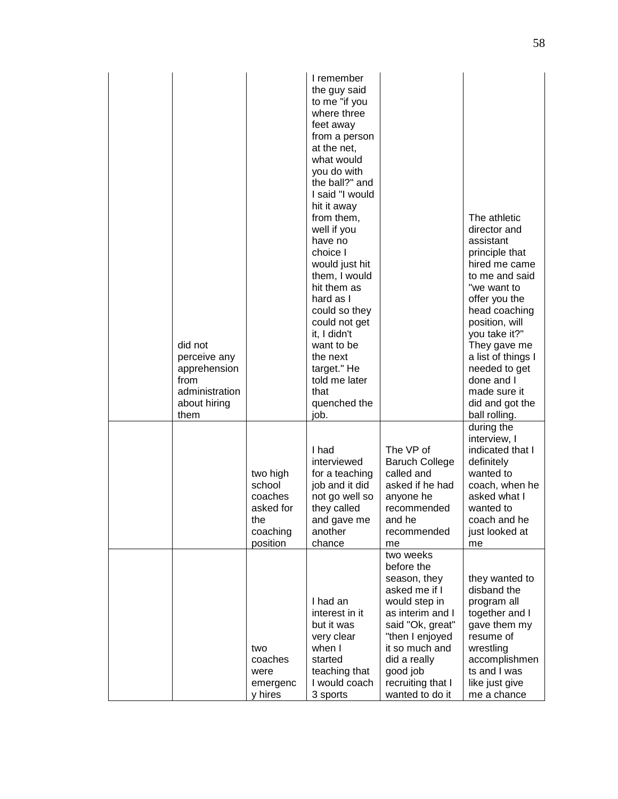| did not<br>perceive any<br>apprehension<br>from<br>administration<br>about hiring<br>them |                                                                           | I remember<br>the guy said<br>to me "if you<br>where three<br>feet away<br>from a person<br>at the net,<br>what would<br>you do with<br>the ball?" and<br>I said "I would<br>hit it away<br>from them,<br>well if you<br>have no<br>choice I<br>would just hit<br>them, I would<br>hit them as<br>hard as I<br>could so they<br>could not get<br>it, I didn't<br>want to be<br>the next<br>target." He<br>told me later<br>that<br>quenched the<br>job. |                                                                                                                                                                                                                            | The athletic<br>director and<br>assistant<br>principle that<br>hired me came<br>to me and said<br>"we want to<br>offer you the<br>head coaching<br>position, will<br>you take it?"<br>They gave me<br>a list of things I<br>needed to get<br>done and I<br>made sure it<br>did and got the<br>ball rolling. |
|-------------------------------------------------------------------------------------------|---------------------------------------------------------------------------|---------------------------------------------------------------------------------------------------------------------------------------------------------------------------------------------------------------------------------------------------------------------------------------------------------------------------------------------------------------------------------------------------------------------------------------------------------|----------------------------------------------------------------------------------------------------------------------------------------------------------------------------------------------------------------------------|-------------------------------------------------------------------------------------------------------------------------------------------------------------------------------------------------------------------------------------------------------------------------------------------------------------|
|                                                                                           | two high<br>school<br>coaches<br>asked for<br>the<br>coaching<br>position | I had<br>interviewed<br>for a teaching<br>job and it did<br>not go well so<br>they called<br>and gave me<br>another<br>chance                                                                                                                                                                                                                                                                                                                           | The VP of<br><b>Baruch College</b><br>called and<br>asked if he had<br>anyone he<br>recommended<br>and he<br>recommended<br>me                                                                                             | during the<br>interview, I<br>indicated that I<br>definitely<br>wanted to<br>coach, when he<br>asked what I<br>wanted to<br>coach and he<br>just looked at<br>me                                                                                                                                            |
|                                                                                           | two<br>coaches<br>were<br>emergenc<br>y hires                             | I had an<br>interest in it<br>but it was<br>very clear<br>when I<br>started<br>teaching that<br>I would coach<br>3 sports                                                                                                                                                                                                                                                                                                                               | two weeks<br>before the<br>season, they<br>asked me if I<br>would step in<br>as interim and I<br>said "Ok, great"<br>"then I enjoyed<br>it so much and<br>did a really<br>good job<br>recruiting that I<br>wanted to do it | they wanted to<br>disband the<br>program all<br>together and I<br>gave them my<br>resume of<br>wrestling<br>accomplishmen<br>ts and I was<br>like just give<br>me a chance                                                                                                                                  |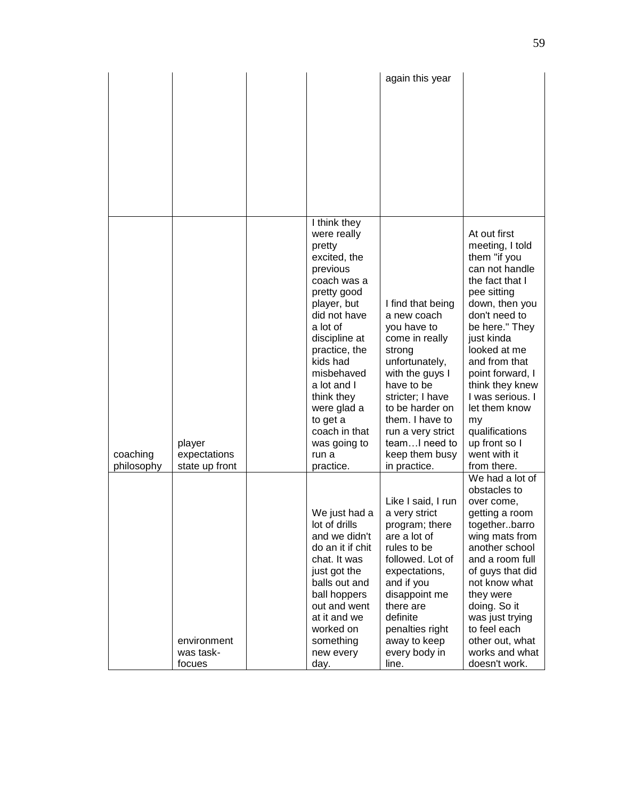|                        |                                          |                                                                                                                                                                                                                                                                                                       | again this year                                                                                                                                                                                                                                                  |                                                                                                                                                                                                                                                                                                                                                             |
|------------------------|------------------------------------------|-------------------------------------------------------------------------------------------------------------------------------------------------------------------------------------------------------------------------------------------------------------------------------------------------------|------------------------------------------------------------------------------------------------------------------------------------------------------------------------------------------------------------------------------------------------------------------|-------------------------------------------------------------------------------------------------------------------------------------------------------------------------------------------------------------------------------------------------------------------------------------------------------------------------------------------------------------|
|                        |                                          |                                                                                                                                                                                                                                                                                                       |                                                                                                                                                                                                                                                                  |                                                                                                                                                                                                                                                                                                                                                             |
|                        |                                          |                                                                                                                                                                                                                                                                                                       |                                                                                                                                                                                                                                                                  |                                                                                                                                                                                                                                                                                                                                                             |
|                        |                                          |                                                                                                                                                                                                                                                                                                       |                                                                                                                                                                                                                                                                  |                                                                                                                                                                                                                                                                                                                                                             |
|                        |                                          |                                                                                                                                                                                                                                                                                                       |                                                                                                                                                                                                                                                                  |                                                                                                                                                                                                                                                                                                                                                             |
|                        |                                          |                                                                                                                                                                                                                                                                                                       |                                                                                                                                                                                                                                                                  |                                                                                                                                                                                                                                                                                                                                                             |
|                        |                                          | I think they                                                                                                                                                                                                                                                                                          |                                                                                                                                                                                                                                                                  |                                                                                                                                                                                                                                                                                                                                                             |
| coaching<br>philosophy | player<br>expectations<br>state up front | were really<br>pretty<br>excited, the<br>previous<br>coach was a<br>pretty good<br>player, but<br>did not have<br>a lot of<br>discipline at<br>practice, the<br>kids had<br>misbehaved<br>a lot and I<br>think they<br>were glad a<br>to get a<br>coach in that<br>was going to<br>run a<br>practice. | I find that being<br>a new coach<br>you have to<br>come in really<br>strong<br>unfortunately,<br>with the guys I<br>have to be<br>stricter; I have<br>to be harder on<br>them. I have to<br>run a very strict<br>teamI need to<br>keep them busy<br>in practice. | At out first<br>meeting, I told<br>them "if you<br>can not handle<br>the fact that I<br>pee sitting<br>down, then you<br>don't need to<br>be here." They<br>just kinda<br>looked at me<br>and from that<br>point forward, I<br>think they knew<br>I was serious. I<br>let them know<br>my<br>qualifications<br>up front so I<br>went with it<br>from there. |
|                        |                                          | We just had a                                                                                                                                                                                                                                                                                         | Like I said, I run<br>a very strict                                                                                                                                                                                                                              | We had a lot of<br>obstacles to<br>over come,<br>getting a room                                                                                                                                                                                                                                                                                             |
|                        |                                          | lot of drills<br>and we didn't<br>do an it if chit<br>chat. It was                                                                                                                                                                                                                                    | program; there<br>are a lot of<br>rules to be<br>followed. Lot of                                                                                                                                                                                                | togetherbarro<br>wing mats from<br>another school<br>and a room full                                                                                                                                                                                                                                                                                        |
|                        |                                          | just got the<br>balls out and<br>ball hoppers                                                                                                                                                                                                                                                         | expectations,<br>and if you<br>disappoint me                                                                                                                                                                                                                     | of guys that did<br>not know what<br>they were                                                                                                                                                                                                                                                                                                              |
|                        |                                          | out and went<br>at it and we                                                                                                                                                                                                                                                                          | there are<br>definite                                                                                                                                                                                                                                            | doing. So it<br>was just trying                                                                                                                                                                                                                                                                                                                             |
|                        |                                          | worked on                                                                                                                                                                                                                                                                                             | penalties right                                                                                                                                                                                                                                                  | to feel each                                                                                                                                                                                                                                                                                                                                                |
|                        | environment<br>was task-<br>focues       | something<br>new every<br>day.                                                                                                                                                                                                                                                                        | away to keep<br>every body in<br>line.                                                                                                                                                                                                                           | other out, what<br>works and what<br>doesn't work.                                                                                                                                                                                                                                                                                                          |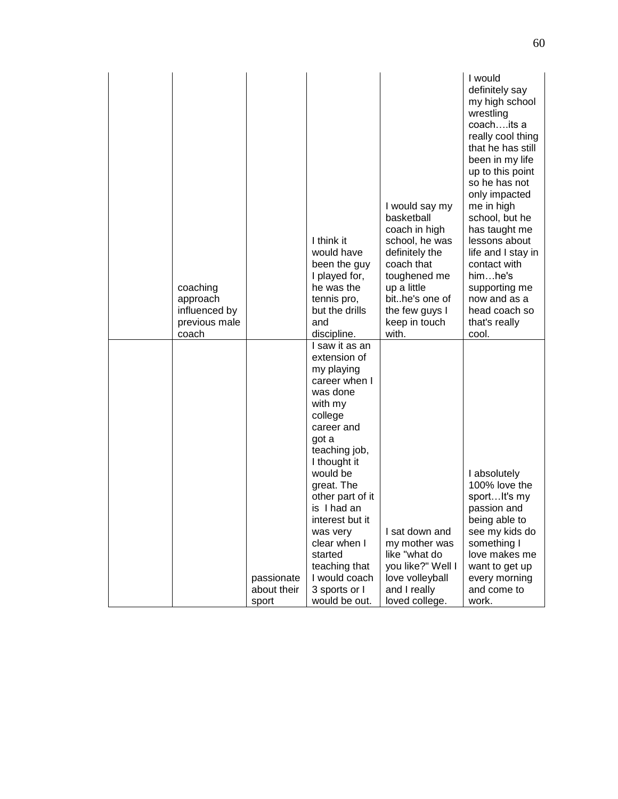|  | coaching<br>approach<br>influenced by<br>previous male<br>coach |                                    | I think it<br>would have<br>been the guy<br>I played for,<br>he was the<br>tennis pro,<br>but the drills<br>and<br>discipline.                                                                                                                                                                                                                     | I would say my<br>basketball<br>coach in high<br>school, he was<br>definitely the<br>coach that<br>toughened me<br>up a little<br>bithe's one of<br>the few guys I<br>keep in touch<br>with. | I would<br>definitely say<br>my high school<br>wrestling<br>coachits a<br>really cool thing<br>that he has still<br>been in my life<br>up to this point<br>so he has not<br>only impacted<br>me in high<br>school, but he<br>has taught me<br>lessons about<br>life and I stay in<br>contact with<br>himhe's<br>supporting me<br>now and as a<br>head coach so<br>that's really<br>cool. |
|--|-----------------------------------------------------------------|------------------------------------|----------------------------------------------------------------------------------------------------------------------------------------------------------------------------------------------------------------------------------------------------------------------------------------------------------------------------------------------------|----------------------------------------------------------------------------------------------------------------------------------------------------------------------------------------------|------------------------------------------------------------------------------------------------------------------------------------------------------------------------------------------------------------------------------------------------------------------------------------------------------------------------------------------------------------------------------------------|
|  |                                                                 | passionate<br>about their<br>sport | I saw it as an<br>extension of<br>my playing<br>career when I<br>was done<br>with my<br>college<br>career and<br>got a<br>teaching job,<br>I thought it<br>would be<br>great. The<br>other part of it<br>is I had an<br>interest but it<br>was very<br>clear when I<br>started<br>teaching that<br>I would coach<br>3 sports or I<br>would be out. | I sat down and<br>my mother was<br>like "what do<br>you like?" Well I<br>love volleyball<br>and I really<br>loved college.                                                                   | I absolutely<br>100% love the<br>sport It's my<br>passion and<br>being able to<br>see my kids do<br>something I<br>love makes me<br>want to get up<br>every morning<br>and come to<br>work.                                                                                                                                                                                              |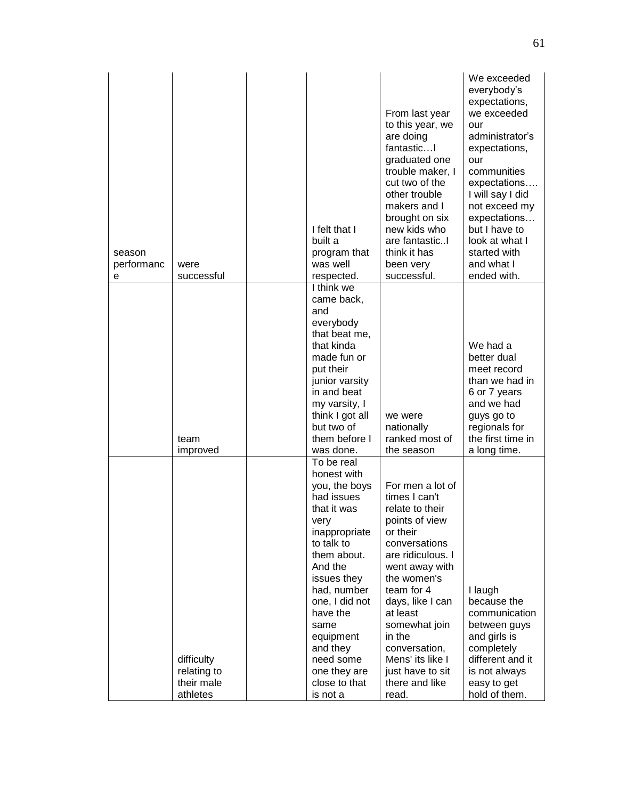| season<br>performanc<br>е | were<br>successful                                  | I felt that I<br>built a<br>program that<br>was well<br>respected.                                                                                                                                                                                                                              | From last year<br>to this year, we<br>are doing<br>fantastic<br>graduated one<br>trouble maker, I<br>cut two of the<br>other trouble<br>makers and I<br>brought on six<br>new kids who<br>are fantasticI<br>think it has<br>been very<br>successful.                                                                   | We exceeded<br>everybody's<br>expectations,<br>we exceeded<br>our<br>administrator's<br>expectations,<br>our<br>communities<br>expectations<br>I will say I did<br>not exceed my<br>expectations<br>but I have to<br>look at what I<br>started with<br>and what I<br>ended with. |
|---------------------------|-----------------------------------------------------|-------------------------------------------------------------------------------------------------------------------------------------------------------------------------------------------------------------------------------------------------------------------------------------------------|------------------------------------------------------------------------------------------------------------------------------------------------------------------------------------------------------------------------------------------------------------------------------------------------------------------------|----------------------------------------------------------------------------------------------------------------------------------------------------------------------------------------------------------------------------------------------------------------------------------|
|                           | team<br>improved                                    | I think we<br>came back,<br>and<br>everybody<br>that beat me,<br>that kinda<br>made fun or<br>put their<br>junior varsity<br>in and beat<br>my varsity, I<br>think I got all<br>but two of<br>them before I<br>was done.                                                                        | we were<br>nationally<br>ranked most of<br>the season                                                                                                                                                                                                                                                                  | We had a<br>better dual<br>meet record<br>than we had in<br>6 or 7 years<br>and we had<br>guys go to<br>regionals for<br>the first time in<br>a long time.                                                                                                                       |
|                           | difficulty<br>relating to<br>their male<br>athletes | To be real<br>honest with<br>you, the boys<br>had issues<br>that it was<br>very<br>inappropriate<br>to talk to<br>them about.<br>And the<br>issues they<br>had, number<br>one, I did not<br>have the<br>same<br>equipment<br>and they<br>need some<br>one they are<br>close to that<br>is not a | For men a lot of<br>times I can't<br>relate to their<br>points of view<br>or their<br>conversations<br>are ridiculous. I<br>went away with<br>the women's<br>team for 4<br>days, like I can<br>at least<br>somewhat join<br>in the<br>conversation,<br>Mens' its like I<br>just have to sit<br>there and like<br>read. | I laugh<br>because the<br>communication<br>between guys<br>and girls is<br>completely<br>different and it<br>is not always<br>easy to get<br>hold of them.                                                                                                                       |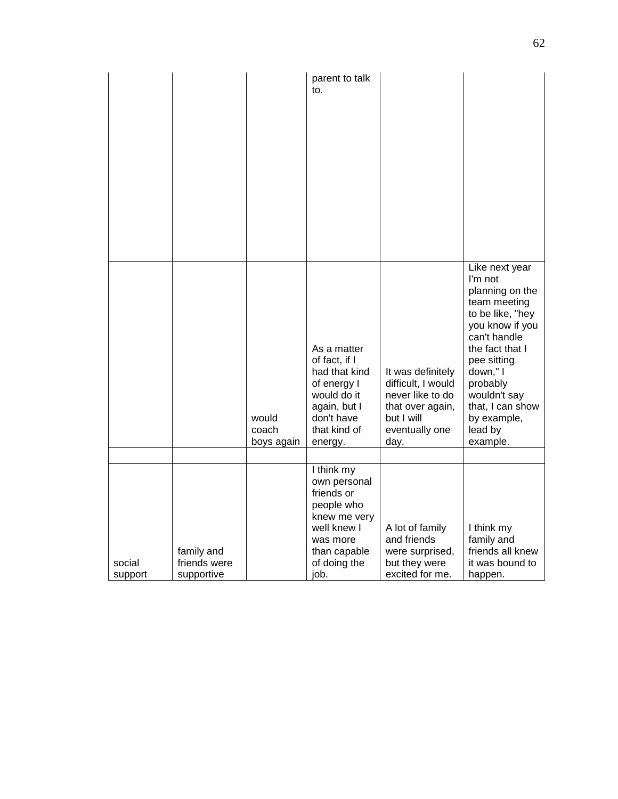|                   |                                          |                              | parent to talk<br>to.                                                                                                                     |                                                                                                                         |                                                                                                                                                                                                                                                         |
|-------------------|------------------------------------------|------------------------------|-------------------------------------------------------------------------------------------------------------------------------------------|-------------------------------------------------------------------------------------------------------------------------|---------------------------------------------------------------------------------------------------------------------------------------------------------------------------------------------------------------------------------------------------------|
|                   |                                          | would<br>coach<br>boys again | As a matter<br>of fact, if I<br>had that kind<br>of energy I<br>would do it<br>again, but I<br>don't have<br>that kind of<br>energy.      | It was definitely<br>difficult, I would<br>never like to do<br>that over again,<br>but I will<br>eventually one<br>day. | Like next year<br>I'm not<br>planning on the<br>team meeting<br>to be like, "hey<br>you know if you<br>can't handle<br>the fact that I<br>pee sitting<br>down," I<br>probably<br>wouldn't say<br>that, I can show<br>by example,<br>lead by<br>example. |
|                   |                                          |                              |                                                                                                                                           |                                                                                                                         |                                                                                                                                                                                                                                                         |
| social<br>support | family and<br>friends were<br>supportive |                              | I think my<br>own personal<br>friends or<br>people who<br>knew me very<br>well knew I<br>was more<br>than capable<br>of doing the<br>job. | A lot of family<br>and friends<br>were surprised,<br>but they were<br>excited for me.                                   | I think my<br>family and<br>friends all knew<br>it was bound to<br>happen.                                                                                                                                                                              |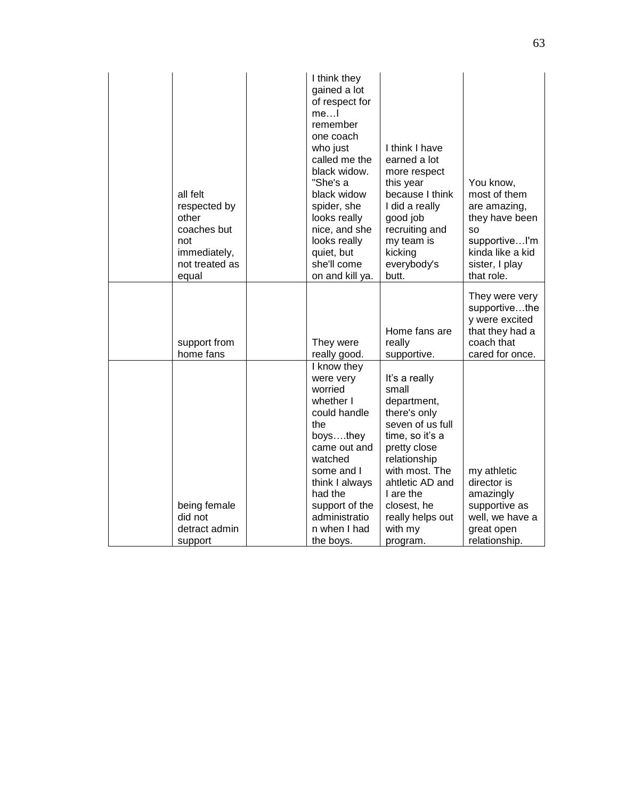| all felt<br>respected by<br>other<br>coaches but<br>not<br>immediately,<br>not treated as<br>equal | I think they<br>gained a lot<br>of respect for<br>me…l<br>remember<br>one coach<br>who just<br>called me the<br>black widow.<br>"She's a<br>black widow<br>spider, she<br>looks really<br>nice, and she<br>looks really<br>quiet, but<br>she'll come<br>on and kill ya. | I think I have<br>earned a lot<br>more respect<br>this year<br>because I think<br>I did a really<br>good job<br>recruiting and<br>my team is<br>kicking<br>everybody's<br>butt.                                                          | You know,<br>most of them<br>are amazing,<br>they have been<br>SΟ<br>supportiveI'm<br>kinda like a kid<br>sister, I play<br>that role. |
|----------------------------------------------------------------------------------------------------|-------------------------------------------------------------------------------------------------------------------------------------------------------------------------------------------------------------------------------------------------------------------------|------------------------------------------------------------------------------------------------------------------------------------------------------------------------------------------------------------------------------------------|----------------------------------------------------------------------------------------------------------------------------------------|
| support from<br>home fans                                                                          | They were<br>really good.                                                                                                                                                                                                                                               | Home fans are<br>really<br>supportive.                                                                                                                                                                                                   | They were very<br>supportivethe<br>y were excited<br>that they had a<br>coach that<br>cared for once.                                  |
| being female<br>did not<br>detract admin<br>support                                                | I know they<br>were very<br>worried<br>whether I<br>could handle<br>the<br>boysthey<br>came out and<br>watched<br>some and I<br>think I always<br>had the<br>support of the<br>administratio<br>n when I had<br>the boys.                                               | It's a really<br>small<br>department,<br>there's only<br>seven of us full<br>time, so it's a<br>pretty close<br>relationship<br>with most. The<br>ahtletic AD and<br>I are the<br>closest, he<br>really helps out<br>with my<br>program. | my athletic<br>director is<br>amazingly<br>supportive as<br>well, we have a<br>great open<br>relationship.                             |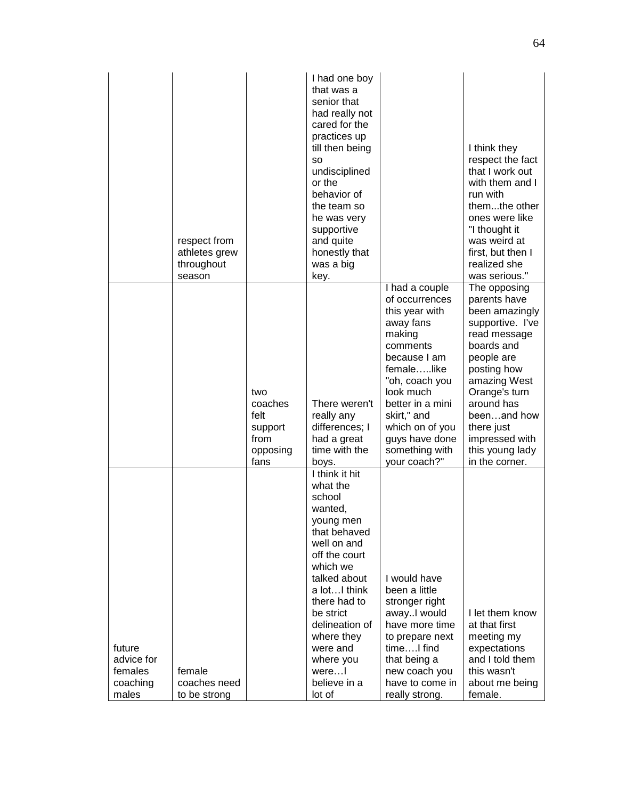|                                                      | respect from<br>athletes grew<br>throughout<br>season |                                                               | I had one boy<br>that was a<br>senior that<br>had really not<br>cared for the<br>practices up<br>till then being<br><b>SO</b><br>undisciplined<br>or the<br>behavior of<br>the team so<br>he was very<br>supportive<br>and quite<br>honestly that<br>was a big<br>key.           |                                                                                                                                                                                                                                                              | I think they<br>respect the fact<br>that I work out<br>with them and I<br>run with<br>themthe other<br>ones were like<br>"I thought it<br>was weird at<br>first, but then I<br>realized she<br>was serious."                                                     |
|------------------------------------------------------|-------------------------------------------------------|---------------------------------------------------------------|----------------------------------------------------------------------------------------------------------------------------------------------------------------------------------------------------------------------------------------------------------------------------------|--------------------------------------------------------------------------------------------------------------------------------------------------------------------------------------------------------------------------------------------------------------|------------------------------------------------------------------------------------------------------------------------------------------------------------------------------------------------------------------------------------------------------------------|
|                                                      |                                                       | two<br>coaches<br>felt<br>support<br>from<br>opposing<br>fans | There weren't<br>really any<br>differences; I<br>had a great<br>time with the<br>boys.                                                                                                                                                                                           | I had a couple<br>of occurrences<br>this year with<br>away fans<br>making<br>comments<br>because I am<br>femalelike<br>"oh, coach you<br>look much<br>better in a mini<br>skirt," and<br>which on of you<br>guys have done<br>something with<br>your coach?" | The opposing<br>parents have<br>been amazingly<br>supportive. I've<br>read message<br>boards and<br>people are<br>posting how<br>amazing West<br>Orange's turn<br>around has<br>beenand how<br>there just<br>impressed with<br>this young lady<br>in the corner. |
| future<br>advice for<br>females<br>coaching<br>males | female<br>coaches need<br>to be strong                |                                                               | I think it hit<br>what the<br>school<br>wanted,<br>young men<br>that behaved<br>well on and<br>off the court<br>which we<br>talked about<br>a lotI think<br>there had to<br>be strict<br>delineation of<br>where they<br>were and<br>where you<br>were<br>believe in a<br>lot of | I would have<br>been a little<br>stronger right<br>awayl would<br>have more time<br>to prepare next<br>timeI find<br>that being a<br>new coach you<br>have to come in<br>really strong.                                                                      | I let them know<br>at that first<br>meeting my<br>expectations<br>and I told them<br>this wasn't<br>about me being<br>female.                                                                                                                                    |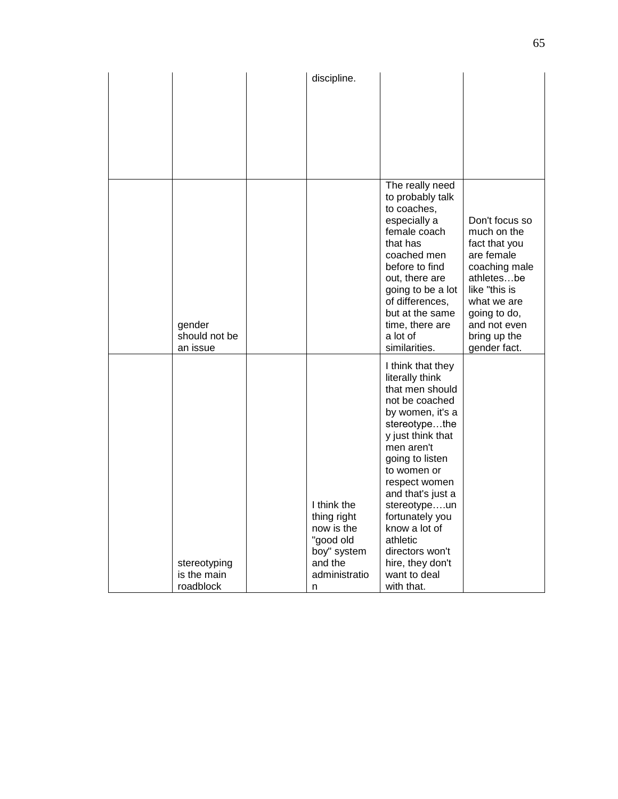|                                     | discipline.                                                                                      |                                                                                                                                                                                                                                                                                                                                                  |                                                                                                                                                                                             |
|-------------------------------------|--------------------------------------------------------------------------------------------------|--------------------------------------------------------------------------------------------------------------------------------------------------------------------------------------------------------------------------------------------------------------------------------------------------------------------------------------------------|---------------------------------------------------------------------------------------------------------------------------------------------------------------------------------------------|
|                                     |                                                                                                  |                                                                                                                                                                                                                                                                                                                                                  |                                                                                                                                                                                             |
|                                     |                                                                                                  |                                                                                                                                                                                                                                                                                                                                                  |                                                                                                                                                                                             |
|                                     |                                                                                                  |                                                                                                                                                                                                                                                                                                                                                  |                                                                                                                                                                                             |
| gender<br>should not be<br>an issue |                                                                                                  | The really need<br>to probably talk<br>to coaches,<br>especially a<br>female coach<br>that has<br>coached men<br>before to find<br>out, there are<br>going to be a lot<br>of differences,<br>but at the same<br>time, there are<br>a lot of<br>similarities.                                                                                     | Don't focus so<br>much on the<br>fact that you<br>are female<br>coaching male<br>athletesbe<br>like "this is<br>what we are<br>going to do,<br>and not even<br>bring up the<br>gender fact. |
| stereotyping<br>is the main         | I think the<br>thing right<br>now is the<br>"good old<br>boy" system<br>and the<br>administratio | I think that they<br>literally think<br>that men should<br>not be coached<br>by women, it's a<br>stereotypethe<br>y just think that<br>men aren't<br>going to listen<br>to women or<br>respect women<br>and that's just a<br>stereotypeun<br>fortunately you<br>know a lot of<br>athletic<br>directors won't<br>hire, they don't<br>want to deal |                                                                                                                                                                                             |
| roadblock                           | n                                                                                                | with that.                                                                                                                                                                                                                                                                                                                                       |                                                                                                                                                                                             |